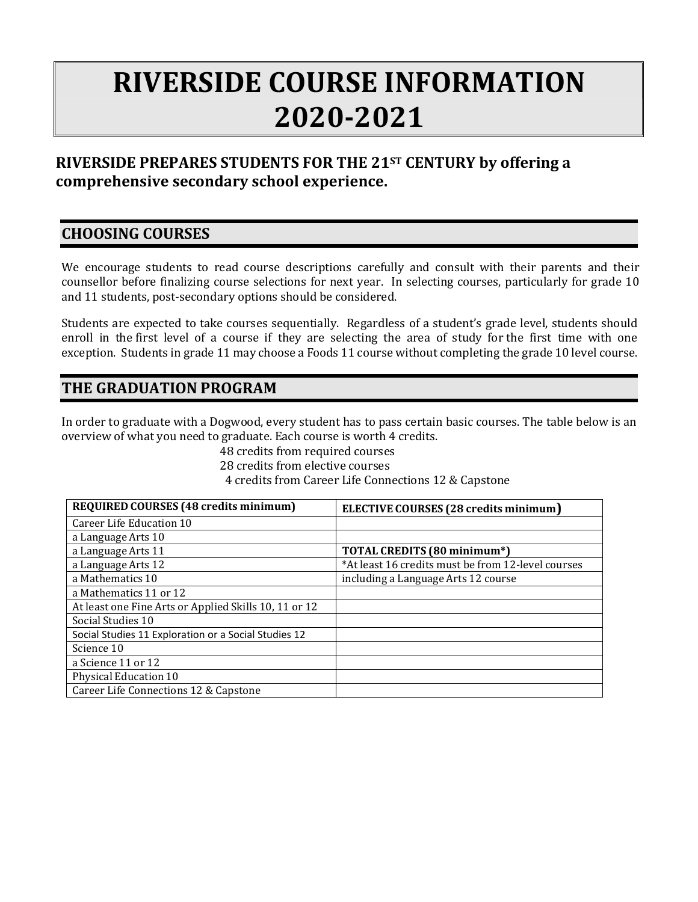# **RIVERSIDE COURSE INFORMATION 2020-2021**

## **RIVERSIDE PREPARES STUDENTS FOR THE 21ST CENTURY by offering a comprehensive secondary school experience.**

## **CHOOSING COURSES**

We encourage students to read course descriptions carefully and consult with their parents and their counsellor before finalizing course selections for next year. In selecting courses, particularly for grade 10 and 11 students, post-secondary options should be considered.

Students are expected to take courses sequentially. Regardless of a student's grade level, students should enroll in the first level of a course if they are selecting the area of study for the first time with one exception. Students in grade 11 may choose a Foods 11 course without completing the grade 10 level course.

## **THE GRADUATION PROGRAM**

In order to graduate with a Dogwood, every student has to pass certain basic courses. The table below is an overview of what you need to graduate. Each course is worth 4 credits.

> 48 credits from required courses 28 credits from elective courses 4 credits from Career Life Connections 12 & Capstone

| <b>REQUIRED COURSES (48 credits minimum)</b>          | ELECTIVE COURSES (28 credits minimum)              |
|-------------------------------------------------------|----------------------------------------------------|
| Career Life Education 10                              |                                                    |
| a Language Arts 10                                    |                                                    |
| a Language Arts 11                                    | TOTAL CREDITS (80 minimum*)                        |
| a Language Arts 12                                    | *At least 16 credits must be from 12-level courses |
| a Mathematics 10                                      | including a Language Arts 12 course                |
| a Mathematics 11 or 12                                |                                                    |
| At least one Fine Arts or Applied Skills 10, 11 or 12 |                                                    |
| Social Studies 10                                     |                                                    |
| Social Studies 11 Exploration or a Social Studies 12  |                                                    |
| Science 10                                            |                                                    |
| a Science 11 or 12                                    |                                                    |
| Physical Education 10                                 |                                                    |
| Career Life Connections 12 & Capstone                 |                                                    |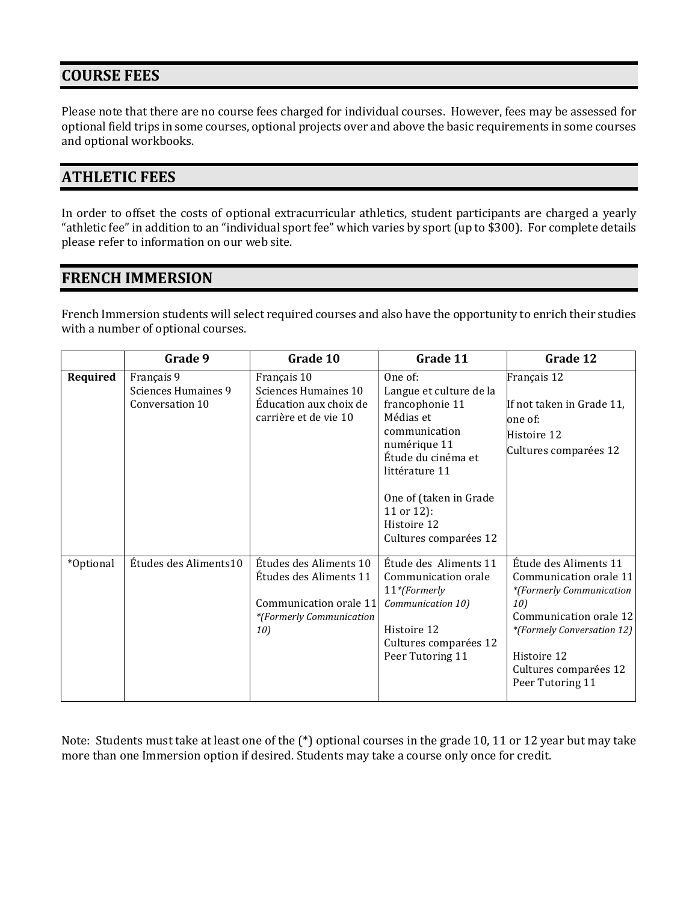## **COURSE FEES**

Please note that there are no course fees charged for individual courses. However, fees may be assessed for optional field trips in some courses, optional projects over and above the basic requirements in some courses and optional workbooks.

## **ATHLETIC FEES**

In order to offset the costs of optional extracurricular athletics, student participants are charged a yearly "athletic fee" in addition to an "individual sport fee" which varies by sport (up to \$300). For complete details please refer to information on our web site.

## **FRENCH IMMERSION**

French Immersion students will select required courses and also have the opportunity to enrich their studies with a number of optional courses.

|           | Grade 9                                              | Grade 10                                                                                                      | Grade 11                                                                                                                                                                                                                    | Grade 12                                                                                                                                                                                               |
|-----------|------------------------------------------------------|---------------------------------------------------------------------------------------------------------------|-----------------------------------------------------------------------------------------------------------------------------------------------------------------------------------------------------------------------------|--------------------------------------------------------------------------------------------------------------------------------------------------------------------------------------------------------|
| Required  | Français 9<br>Sciences Humaines 9<br>Conversation 10 | Français 10<br>Sciences Humaines 10<br>Éducation aux choix de<br>carrière et de vie 10                        | One of:<br>Langue et culture de la<br>francophonie 11<br>Médias et<br>communication<br>numérique 11<br>Étude du cinéma et<br>littérature 11<br>One of (taken in Grade<br>11 or 12):<br>Histoire 12<br>Cultures comparées 12 | Français 12<br>If not taken in Grade 11,<br>one of:<br>Histoire 12<br>Cultures comparées 12                                                                                                            |
| *Optional | Études des Aliments10                                | Études des Aliments 10<br>Etudes des Aliments 11<br>Communication orale 11<br>*(Formerly Communication<br>10) | Étude des Aliments 11<br>Communication orale<br>$11*$ (Formerly<br>Communication 10)<br>Histoire 12<br>Cultures comparées 12<br>Peer Tutoring 11                                                                            | Étude des Aliments 11<br>Communication orale 11<br>*(Formerly Communication<br>10)<br>Communication orale 12<br>*(Formely Conversation 12)<br>Histoire 12<br>Cultures comparées 12<br>Peer Tutoring 11 |

Note: Students must take at least one of the (\*) optional courses in the grade 10, 11 or 12 year but may take more than one Immersion option if desired. Students may take a course only once for credit.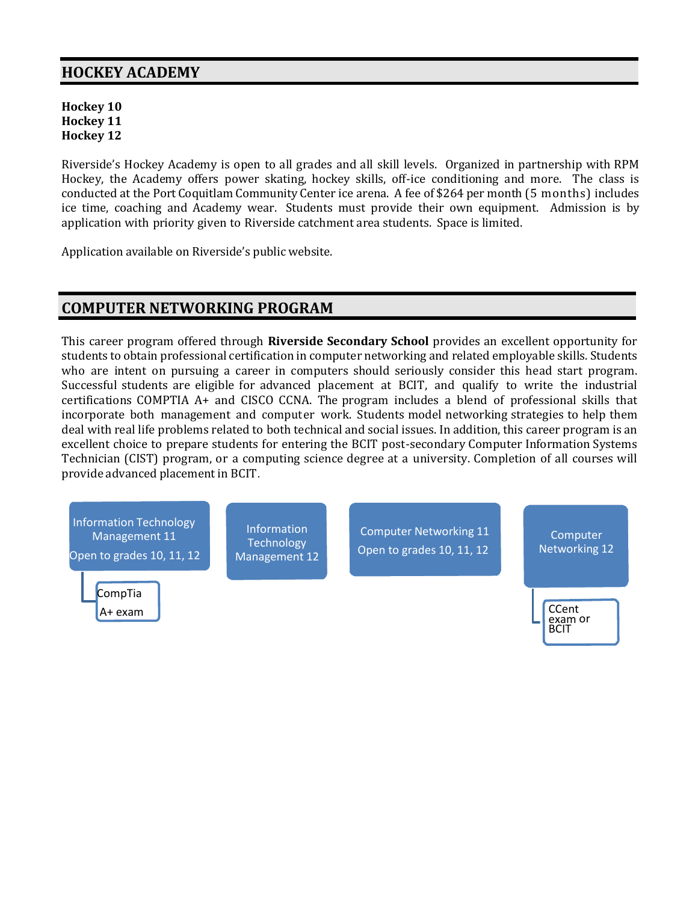## **HOCKEY ACADEMY**

**Hockey 10 Hockey 11 Hockey 12**

Riverside's Hockey Academy is open to all grades and all skill levels. Organized in partnership with RPM Hockey, the Academy offers power skating, hockey skills, off-ice conditioning and more. The class is conducted at the Port Coquitlam Community Center ice arena. A fee of \$264 per month (5 months) includes ice time, coaching and Academy wear. Students must provide their own equipment. Admission is by application with priority given to Riverside catchment area students. Space is limited.

Application available on Riverside's public website.

## **COMPUTER NETWORKING PROGRAM**

This career program offered through **Riverside Secondary School** provides an excellent opportunity for students to obtain professional certification in computer networking and related employable skills. Students who are intent on pursuing a career in computers should seriously consider this head start program. Successful students are eligible for advanced placement at BCIT, and qualify to write the industrial certifications COMPTIA A+ and CISCO CCNA. The program includes a blend of professional skills that incorporate both management and computer work. Students model networking strategies to help them deal with real life problems related to both technical and social issues. In addition, this career program is an excellent choice to prepare students for entering the BCIT post-secondary Computer Information Systems Technician (CIST) program, or a computing science degree at a university. Completion of all courses will provide advanced placement in BCIT.

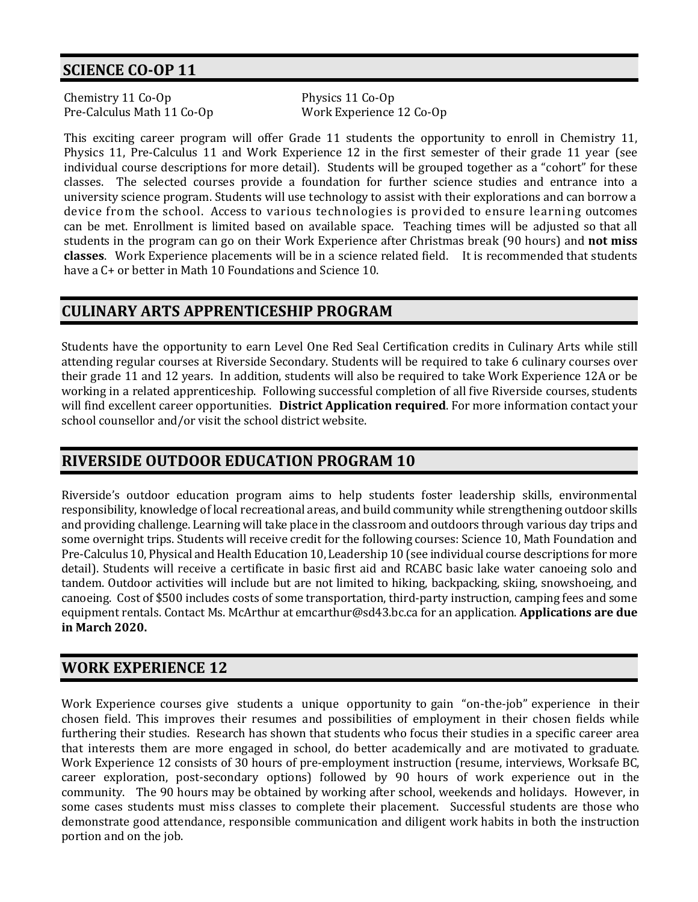## **SCIENCE CO-OP 11**

Chemistry 11 Co-Op Physics 11 Co-Op Pre-Calculus Math 11 Co-Op Work Experience 12 Co-Op

This exciting career program will offer Grade 11 students the opportunity to enroll in Chemistry 11, Physics 11, Pre-Calculus 11 and Work Experience 12 in the first semester of their grade 11 year (see individual course descriptions for more detail). Students will be grouped together as a "cohort" for these classes. The selected courses provide a foundation for further science studies and entrance into a university science program. Students will use technology to assist with their explorations and can borrow a device from the school. Access to various technologies is provided to ensure learning outcomes can be met. Enrollment is limited based on available space. Teaching times will be adjusted so that all students in the program can go on their Work Experience after Christmas break (90 hours) and **not miss classes**. Work Experience placements will be in a science related field. It is recommended that students have a  $C_{\text{+}}$  or better in Math 10 Foundations and Science 10.

## **CULINARY ARTS APPRENTICESHIP PROGRAM**

Students have the opportunity to earn Level One Red Seal Certification credits in Culinary Arts while still attending regular courses at Riverside Secondary. Students will be required to take 6 culinary courses over their grade 11 and 12 years. In addition, students will also be required to take Work Experience 12A or be working in a related apprenticeship. Following successful completion of all five Riverside courses, students will find excellent career opportunities. **District Application required**. For more information contact your school counsellor and/or visit the school district website.

## **RIVERSIDE OUTDOOR EDUCATION PROGRAM 10**

Riverside's outdoor education program aims to help students foster leadership skills, environmental responsibility, knowledge of local recreational areas, and build community while strengthening outdoor skills and providing challenge. Learning will take place in the classroom and outdoors through various day trips and some overnight trips. Students will receive credit for the following courses: Science 10, Math Foundation and Pre-Calculus 10, Physical and Health Education 10, Leadership 10 (see individual course descriptions for more detail). Students will receive a certificate in basic first aid and RCABC basic lake water canoeing solo and tandem. Outdoor activities will include but are not limited to hiking, backpacking, skiing, snowshoeing, and canoeing. Cost of \$500 includes costs of some transportation, third-party instruction, camping fees and some equipment rentals. Contact Ms. McArthur at emcarthur@sd43.bc.ca for an application. **Applications are due in March 2020.**

## **WORK EXPERIENCE 12**

Work Experience courses give students a unique opportunity to gain "on-the-job" experience in their chosen field. This improves their resumes and possibilities of employment in their chosen fields while furthering their studies. Research has shown that students who focus their studies in a specific career area that interests them are more engaged in school, do better academically and are motivated to graduate. Work Experience 12 consists of 30 hours of pre-employment instruction (resume, interviews, Worksafe BC, career exploration, post-secondary options) followed by 90 hours of work experience out in the community. The 90 hours may be obtained by working after school, weekends and holidays. However, in some cases students must miss classes to complete their placement. Successful students are those who demonstrate good attendance, responsible communication and diligent work habits in both the instruction portion and on the job.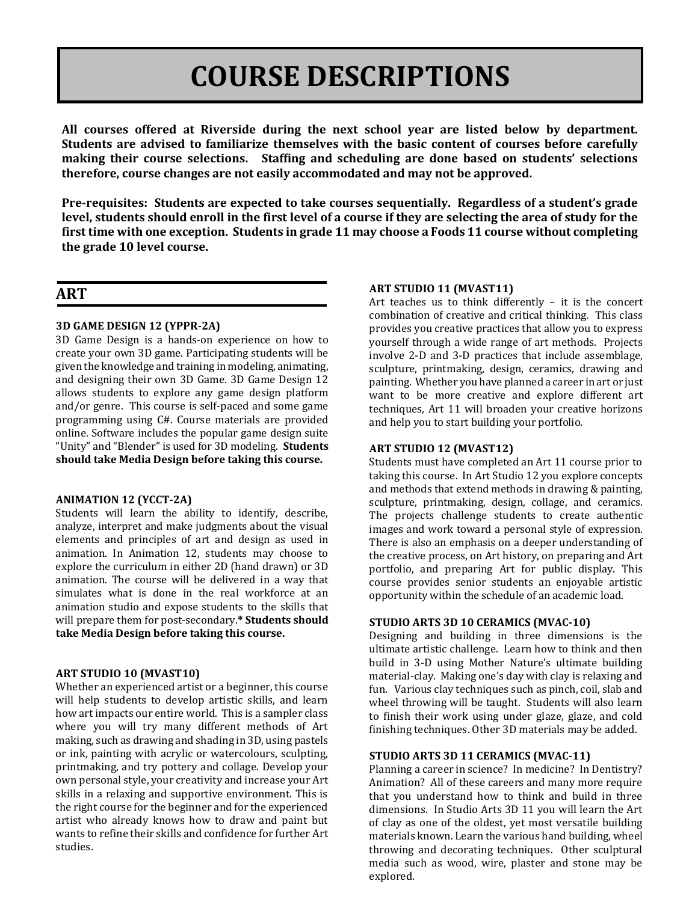# **COURSE DESCRIPTIONS**

**All courses offered at Riverside during the next school year are listed below by department. Students are advised to familiarize themselves with the basic content of courses before carefully making their course selections. Staffing and scheduling are done based on students' selections therefore, course changes are not easily accommodated and may not be approved.**

**Pre-requisites: Students are expected to take courses sequentially. Regardless of a student's grade level, students should enroll in the first level of a course if they are selecting the area of study for the first time with one exception. Students in grade 11 may choose a Foods 11 course without completing the grade 10 level course.**

## **ART**

#### **3D GAME DESIGN 12 (YPPR-2A)**

3D Game Design is a hands-on experience on how to create your own 3D game. Participating students will be given the knowledge and training in modeling, animating, and designing their own 3D Game. 3D Game Design 12 allows students to explore any game design platform and/or genre. This course is self-paced and some game programming using C#. Course materials are provided online. Software includes the popular game design suite "Unity" and "Blender" is used for 3D modeling. **Students should take Media Design before taking this course.**

#### **ANIMATION 12 (YCCT-2A)**

Students will learn the ability to identify, describe, analyze, interpret and make judgments about the visual elements and principles of art and design as used in animation. In Animation 12, students may choose to explore the curriculum in either 2D (hand drawn) or 3D animation. The course will be delivered in a way that simulates what is done in the real workforce at an animation studio and expose students to the skills that will prepare them for post-secondary.**\* Students should take Media Design before taking this course.**

#### **ART STUDIO 10 (MVAST10)**

Whether an experienced artist or a beginner, this course will help students to develop artistic skills, and learn how art impacts our entire world. This is a sampler class where you will try many different methods of Art making, such as drawing and shading in 3D, using pastels or ink, painting with acrylic or watercolours, sculpting, printmaking, and try pottery and collage. Develop your own personal style, your creativity and increase your Art skills in a relaxing and supportive environment. This is the right course for the beginner and for the experienced artist who already knows how to draw and paint but wants to refine their skills and confidence for further Art studies.

#### **ART STUDIO 11 (MVAST11)**

Art teaches us to think differently – it is the concert combination of creative and critical thinking. This class provides you creative practices that allow you to express yourself through a wide range of art methods. Projects involve 2-D and 3-D practices that include assemblage, sculpture, printmaking, design, ceramics, drawing and painting. Whether you have planned a career in art or just want to be more creative and explore different art techniques, Art 11 will broaden your creative horizons and help you to start building your portfolio.

#### **ART STUDIO 12 (MVAST12)**

Students must have completed an Art 11 course prior to taking this course. In Art Studio 12 you explore concepts and methods that extend methods in drawing & painting, sculpture, printmaking, design, collage, and ceramics. The projects challenge students to create authentic images and work toward a personal style of expression. There is also an emphasis on a deeper understanding of the creative process, on Art history, on preparing and Art portfolio, and preparing Art for public display. This course provides senior students an enjoyable artistic opportunity within the schedule of an academic load.

#### **STUDIO ARTS 3D 10 CERAMICS (MVAC-10)**

Designing and building in three dimensions is the ultimate artistic challenge. Learn how to think and then build in 3-D using Mother Nature's ultimate building material-clay. Making one's day with clay is relaxing and fun. Various clay techniques such as pinch, coil, slab and wheel throwing will be taught. Students will also learn to finish their work using under glaze, glaze, and cold finishing techniques. Other 3D materials may be added.

#### **STUDIO ARTS 3D 11 CERAMICS (MVAC-11)**

Planning a career in science? In medicine? In Dentistry? Animation? All of these careers and many more require that you understand how to think and build in three dimensions. In Studio Arts 3D 11 you will learn the Art of clay as one of the oldest, yet most versatile building materials known. Learn the various hand building, wheel throwing and decorating techniques. Other sculptural media such as wood, wire, plaster and stone may be explored.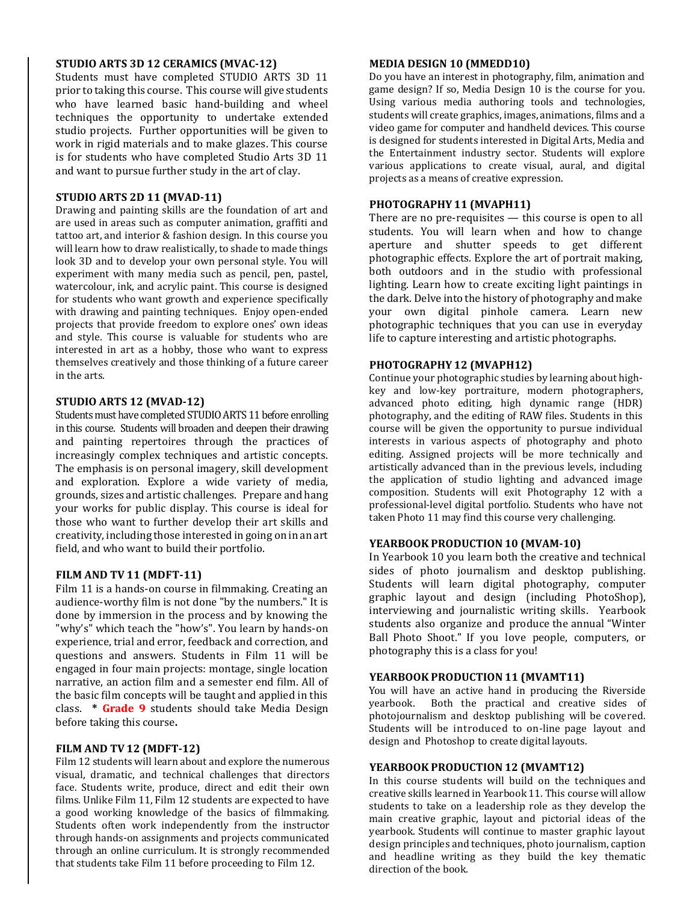#### **STUDIO ARTS 3D 12 CERAMICS (MVAC-12)**

Students must have completed STUDIO ARTS 3D 11 prior to taking this course. This course will give students who have learned basic hand-building and wheel techniques the opportunity to undertake extended studio projects. Further opportunities will be given to work in rigid materials and to make glazes. This course is for students who have completed Studio Arts 3D 11 and want to pursue further study in the art of clay.

#### **STUDIO ARTS 2D 11 (MVAD-11)**

Drawing and painting skills are the foundation of art and are used in areas such as computer animation, graffiti and tattoo art, and interior & fashion design. In this course you will learn how to draw realistically, to shade to made things look 3D and to develop your own personal style. You will experiment with many media such as pencil, pen, pastel, watercolour, ink, and acrylic paint. This course is designed for students who want growth and experience specifically with drawing and painting techniques. Enjoy open-ended projects that provide freedom to explore ones' own ideas and style. This course is valuable for students who are interested in art as a hobby, those who want to express themselves creatively and those thinking of a future career in the arts.

#### **STUDIO ARTS 12 (MVAD-12)**

Students must have completed STUDIO ARTS 11 before enrolling in this course. Students will broaden and deepen their drawing and painting repertoires through the practices of increasingly complex techniques and artistic concepts. The emphasis is on personal imagery, skill development and exploration. Explore a wide variety of media, grounds, sizes and artistic challenges. Prepare and hang your works for public display. This course is ideal for those who want to further develop their art skills and creativity, including those interested in going on in an art field, and who want to build their portfolio.

#### **FILM AND TV 11 (MDFT-11)**

Film 11 is a hands-on course in filmmaking. Creating an audience-worthy film is not done "by the numbers." It is done by immersion in the process and by knowing the "why's" which teach the "how's". You learn by hands-on experience, trial and error, feedback and correction, and questions and answers. Students in Film 11 will be engaged in four main projects: montage, single location narrative, an action film and a semester end film. All of the basic film concepts will be taught and applied in this class. **\* Grade 9** students should take Media Design before taking this course**.**

#### **FILM AND TV12 (MDFT-12)**

Film 12 students will learn about and explore the numerous visual, dramatic, and technical challenges that directors face. Students write, produce, direct and edit their own films. Unlike Film 11, Film 12 students are expected to have a good working knowledge of the basics of filmmaking. Students often work independently from the instructor through hands-on assignments and projects communicated through an online curriculum. It is strongly recommended that students take Film 11 before proceeding to Film 12.

#### **MEDIA DESIGN 10 (MMEDD10)**

Do you have an interest in photography, film, animation and game design? If so, Media Design 10 is the course for you. Using various media authoring tools and technologies, students will create graphics, images, animations, films and a video game for computer and handheld devices. This course is designed for students interested in Digital Arts, Media and the Entertainment industry sector. Students will explore various applications to create visual, aural, and digital projects as a means of creative expression.

#### **PHOTOGRAPHY 11 (MVAPH11)**

There are no pre-requisites — this course is open to all students. You will learn when and how to change aperture and shutter speeds to get different photographic effects. Explore the art of portrait making, both outdoors and in the studio with professional lighting. Learn how to create exciting light paintings in the dark. Delve into the history of photography and make your own digital pinhole camera. Learn new photographic techniques that you can use in everyday life to capture interesting and artistic photographs.

#### **PHOTOGRAPHY 12 (MVAPH12)**

Continue your photographic studies by learning about highkey and low-key portraiture, modern photographers, advanced photo editing, high dynamic range (HDR) photography, and the editing of RAW files. Students in this course will be given the opportunity to pursue individual interests in various aspects of photography and photo editing. Assigned projects will be more technically and artistically advanced than in the previous levels, including the application of studio lighting and advanced image composition. Students will exit Photography 12 with a professional-level digital portfolio. Students who have not taken Photo 11 may find this course very challenging.

#### **YEARBOOK PRODUCTION 10 (MVAM-10)**

In Yearbook 10 you learn both the creative and technical sides of photo journalism and desktop publishing. Students will learn digital photography, computer graphic layout and design (including PhotoShop), interviewing and journalistic writing skills. Yearbook students also organize and produce the annual "Winter Ball Photo Shoot." If you love people, computers, or photography this is a class for you!

#### **YEARBOOK PRODUCTION 11 (MVAMT11)**

You will have an active hand in producing the Riverside yearbook. Both the practical and creative sides of photojournalism and desktop publishing will be covered. Students will be introduced to on-line page layout and design and Photoshop to create digital layouts.

#### **YEARBOOK PRODUCTION 12 (MVAMT12)**

In this course students will build on the techniques and creative skills learned in Yearbook 11. This course will allow students to take on a leadership role as they develop the main creative graphic, layout and pictorial ideas of the yearbook. Students will continue to master graphic layout design principles and techniques, photo journalism, caption and headline writing as they build the key thematic direction of the book.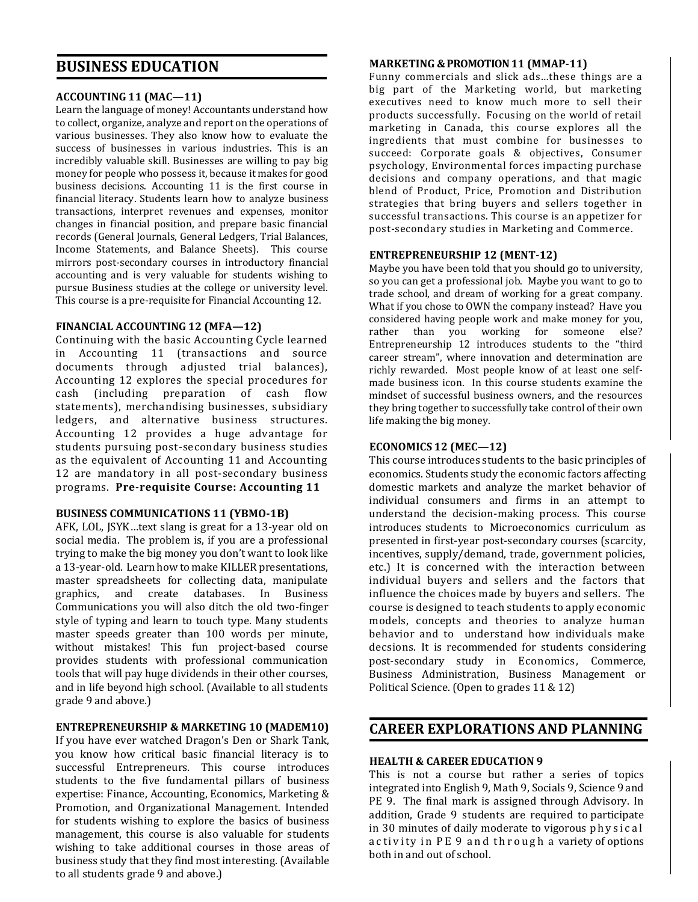## **BUSINESS EDUCATION**

#### **ACCOUNTING11 (MAC—11)**

Learn the language of money! Accountants understand how to collect, organize, analyze and report on the operations of various businesses. They also know how to evaluate the success of businesses in various industries. This is an incredibly valuable skill. Businesses are willing to pay big money for people who possess it, because it makes for good business decisions. Accounting 11 is the first course in financial literacy. Students learn how to analyze business transactions, interpret revenues and expenses, monitor changes in financial position, and prepare basic financial records (General Journals, General Ledgers, Trial Balances, Income Statements, and Balance Sheets). This course mirrors post-secondary courses in introductory financial accounting and is very valuable for students wishing to pursue Business studies at the college or university level. This course is a pre-requisite for Financial Accounting 12.

#### **FINANCIAL ACCOUNTING 12 (MFA—12)**

Continuing with the basic Accounting Cycle learned in Accounting 11 (transactions and source documents through adjusted trial balances), Accounting 12 explores the special procedures for cash (including preparation of cash flow statements), merchandising businesses, subsidiary ledgers, and alternative business structures. Accounting 12 provides a huge advantage for students pursuing post-secondary business studies as the equivalent of Accounting 11 and Accounting 12 are mandatory in all post-secondary business programs. **Pre-requisite Course: Accounting 11**

#### **BUSINESS COMMUNICATIONS 11 (YBMO-1B)**

AFK, LOL, JSYK…text slang is great for a 13-year old on social media. The problem is, if you are a professional trying to make the big money you don't want to look like a 13-year-old. Learn how to make KILLER presentations, master spreadsheets for collecting data, manipulate graphics, and create databases. In Business Communications you will also ditch the old two-finger style of typing and learn to touch type. Many students master speeds greater than 100 words per minute, without mistakes! This fun project-based course provides students with professional communication tools that will pay huge dividends in their other courses, and in life beyond high school. (Available to all students grade 9 and above.)

#### **ENTREPRENEURSHIP & MARKETING 10 (MADEM10)**

If you have ever watched Dragon's Den or Shark Tank, you know how critical basic financial literacy is to successful Entrepreneurs. This course introduces students to the five fundamental pillars of business expertise: Finance, Accounting, Economics, Marketing & Promotion, and Organizational Management. Intended for students wishing to explore the basics of business management, this course is also valuable for students wishing to take additional courses in those areas of business study that they find most interesting. (Available to all students grade 9 and above.)

#### **MARKETING &PROMOTION 11 (MMAP-11)**

Funny commercials and slick ads…these things are a big part of the Marketing world, but marketing executives need to know much more to sell their products successfully. Focusing on the world of retail marketing in Canada, this course explores all the ingredients that must combine for businesses to succeed: Corporate goals & objectives, Consumer psychology, Environmental forces impacting purchase decisions and company operations, and that magic blend of Product, Price, Promotion and Distribution strategies that bring buyers and sellers together in successful transactions. This course is an appetizer for post-secondary studies in Marketing and Commerce.

#### **ENTREPRENEURSHIP 12 (MENT-12)**

Maybe you have been told that you should go to university, so you can get a professional job. Maybe you want to go to trade school, and dream of working for a great company. What if you chose to OWN the company instead? Have you considered having people work and make money for you, rather than you working for someone else? Entrepreneurship 12 introduces students to the "third career stream", where innovation and determination are richly rewarded. Most people know of at least one selfmade business icon. In this course students examine the mindset of successful business owners, and the resources they bring together to successfully take control of their own life making the big money.

#### **ECONOMICS 12 (MEC—12)**

This course introduces students to the basic principles of economics. Students study the economic factors affecting domestic markets and analyze the market behavior of individual consumers and firms in an attempt to understand the decision-making process. This course introduces students to Microeconomics curriculum as presented in first-year post-secondary courses (scarcity, incentives, supply/demand, trade, government policies, etc.) It is concerned with the interaction between individual buyers and sellers and the factors that influence the choices made by buyers and sellers. The course is designed to teach students to apply economic models, concepts and theories to analyze human behavior and to understand how individuals make decsions. It is recommended for students considering post-secondary study in Economics, Commerce, Business Administration, Business Management or Political Science. (Open to grades 11 & 12)

## **CAREER EXPLORATIONS AND PLANNING**

#### **HEALTH & CAREER EDUCATION 9**

This is not a course but rather a series of topics integrated into English 9, Math 9, Socials 9, Science 9 and PE 9. The final mark is assigned through Advisory. In addition, Grade 9 students are required to participate in 30 minutes of daily moderate to vigorous physical activity in PE 9 and through a variety of options both in and out of school.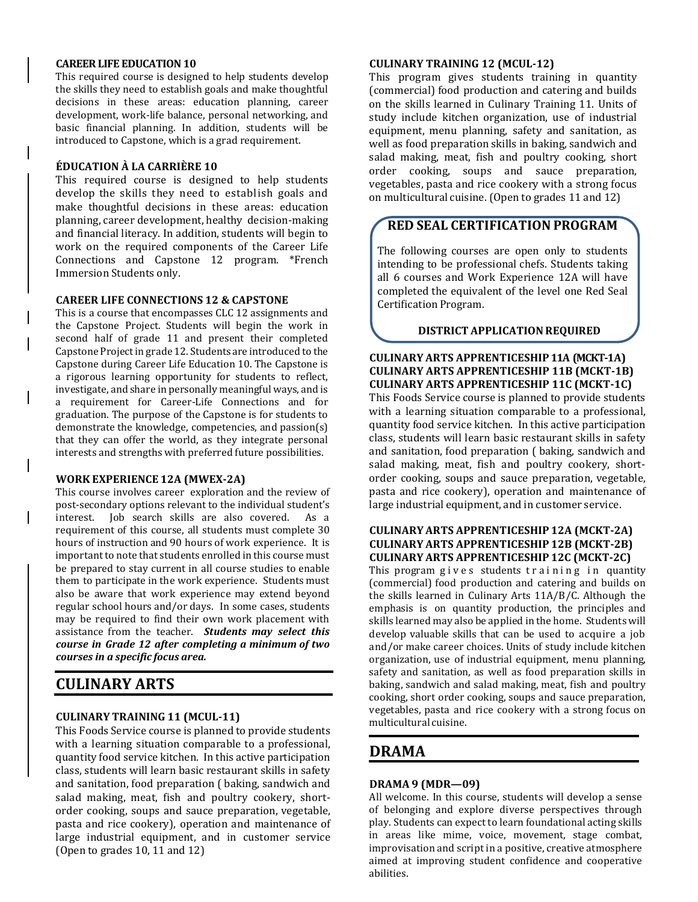#### **CAREER LIFE EDUCATION 10**

This required course is designed to help students develop the skills they need to establish goals and make thoughtful decisions in these areas: education planning, career development, work-life balance, personal networking, and basic financial planning. In addition, students will be introduced to Capstone, which is a grad requirement.

#### **ÉDUCATION À LA CARRIÈRE 10**

This required course is designed to help students develop the skills they need to establish goals and make thoughtful decisions in these areas: education planning, career development, healthy decision-making and financial literacy. In addition, students will begin to work on the required components of the Career Life Connections and Capstone 12 program. \*French Immersion Students only.

#### **CAREER LIFE CONNECTIONS 12 & CAPSTONE**

This is a course that encompasses CLC 12 assignments and the Capstone Project. Students will begin the work in second half of grade 11 and present their completed Capstone Project in grade 12. Students are introduced to the Capstone during Career Life Education 10. The Capstone is a rigorous learning opportunity for students to reflect, investigate, and share in personally meaningful ways, and is a requirement for Career-Life Connections and for graduation. The purpose of the Capstone is for students to demonstrate the knowledge, competencies, and passion(s) that they can offer the world, as they integrate personal interests and strengths with preferred future possibilities.

#### **WORK EXPERIENCE 12A (MWEX-2A)**

This course involves career exploration and the review of post-secondary options relevant to the individual student's interest. Job search skills are also covered. As a requirement of this course, all students must complete 30 hours of instruction and 90 hours of work experience. It is important to note that students enrolled in this course must be prepared to stay current in all course studies to enable them to participate in the work experience. Students must also be aware that work experience may extend beyond regular school hours and/or days. In some cases, students may be required to find their own work placement with assistance from the teacher. *Students may select this course in Grade 12 after completing a minimum of two courses in a specific focus area.*

## **CULINARY ARTS**

#### **CULINARY TRAINING 11 (MCUL-11)**

This Foods Service course is planned to provide students with a learning situation comparable to a professional, quantity food service kitchen. In this active participation class, students will learn basic restaurant skills in safety and sanitation, food preparation ( baking, sandwich and salad making, meat, fish and poultry cookery, shortorder cooking, soups and sauce preparation, vegetable, pasta and rice cookery), operation and maintenance of large industrial equipment, and in customer service (Open to grades 10, 11 and 12)

#### **CULINARY TRAINING 12 (MCUL-12)**

This program gives students training in quantity (commercial) food production and catering and builds on the skills learned in Culinary Training 11. Units of study include kitchen organization, use of industrial equipment, menu planning, safety and sanitation, as well as food preparation skills in baking, sandwich and salad making, meat, fish and poultry cooking, short order cooking, soups and sauce preparation, vegetables, pasta and rice cookery with a strong focus on multicultural cuisine. (Open to grades 11 and 12)

## **RED SEAL CERTIFICATION PROGRAM**

The following courses are open only to students intending to be professional chefs. Students taking all 6 courses and Work Experience 12A will have completed the equivalent of the level one Red Seal Certification Program.

#### **DISTRICT APPLICATIONREQUIRED**

#### **CULINARY ARTS APPRENTICESHIP11A (MCKT-1A) CULINARY ARTS APPRENTICESHIP 11B (MCKT-1B) CULINARY ARTS APPRENTICESHIP 11C (MCKT-1C)**

This Foods Service course is planned to provide students with a learning situation comparable to a professional, quantity food service kitchen. In this active participation class, students will learn basic restaurant skills in safety and sanitation, food preparation ( baking, sandwich and salad making, meat, fish and poultry cookery, shortorder cooking, soups and sauce preparation, vegetable, pasta and rice cookery), operation and maintenance of large industrial equipment, and in customer service.

#### **CULINARY ARTS APPRENTICESHIP 12A (MCKT-2A) CULINARY ARTS APPRENTICESHIP 12B (MCKT-2B) CULINARY ARTS APPRENTICESHIP 12C (MCKT-2C)**

This program gives students training in quantity (commercial) food production and catering and builds on the skills learned in Culinary Arts 11A/B/C. Although the emphasis is on quantity production, the principles and skills learned may also be applied in the home. Studentswill develop valuable skills that can be used to acquire a job and/or make career choices. Units of study include kitchen organization, use of industrial equipment, menu planning, safety and sanitation, as well as food preparation skills in baking, sandwich and salad making, meat, fish and poultry cooking, short order cooking, soups and sauce preparation, vegetables, pasta and rice cookery with a strong focus on multicultural cuisine.

### **DRAMA**

#### **DRAMA 9 (MDR—09)**

All welcome. In this course, students will develop a sense of belonging and explore diverse perspectives through play. Students can expect to learn foundational acting skills in areas like mime, voice, movement, stage combat, improvisation and script in a positive, creative atmosphere aimed at improving student confidence and cooperative abilities.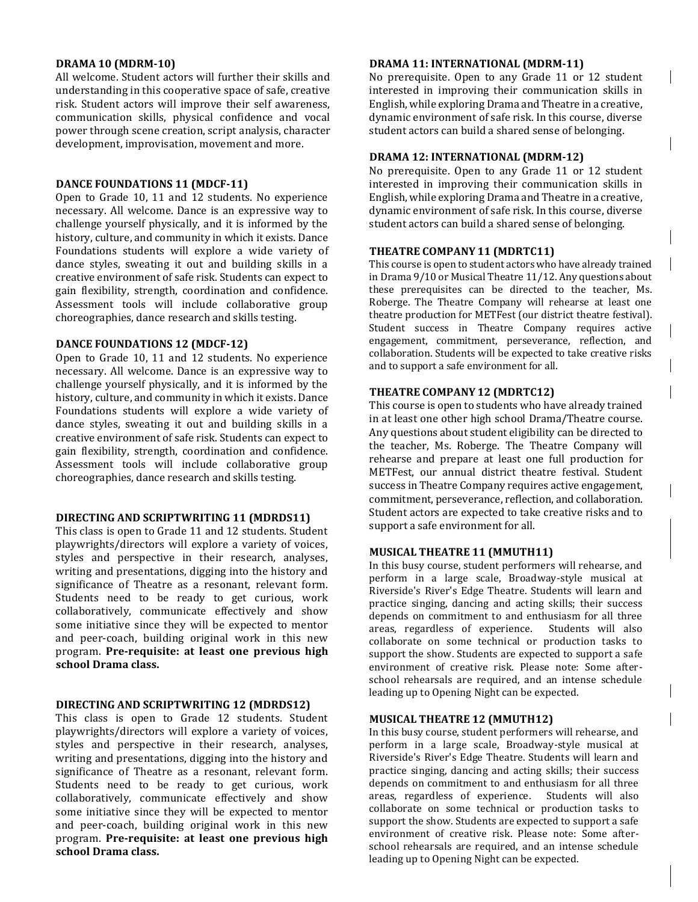#### **DRAMA 10 (MDRM-10)**

All welcome. Student actors will further their skills and understanding in this cooperative space of safe, creative risk. Student actors will improve their self awareness, communication skills, physical confidence and vocal power through scene creation, script analysis, character development, improvisation, movement and more.

#### **DANCE FOUNDATIONS 11 (MDCF-11)**

Open to Grade 10, 11 and 12 students. No experience necessary. All welcome. Dance is an expressive way to challenge yourself physically, and it is informed by the history, culture, and community in which it exists. Dance Foundations students will explore a wide variety of dance styles, sweating it out and building skills in a creative environment of safe risk. Students can expect to gain flexibility, strength, coordination and confidence. Assessment tools will include collaborative group choreographies, dance research and skills testing.

#### **DANCE FOUNDATIONS 12 (MDCF-12)**

Open to Grade 10, 11 and 12 students. No experience necessary. All welcome. Dance is an expressive way to challenge yourself physically, and it is informed by the history, culture, and community in which it exists. Dance Foundations students will explore a wide variety of dance styles, sweating it out and building skills in a creative environment of safe risk. Students can expect to gain flexibility, strength, coordination and confidence. Assessment tools will include collaborative group choreographies, dance research and skills testing.

#### **DIRECTING AND SCRIPTWRITING 11 (MDRDS11)**

This class is open to Grade 11 and 12 students. Student playwrights/directors will explore a variety of voices, styles and perspective in their research, analyses, writing and presentations, digging into the history and significance of Theatre as a resonant, relevant form. Students need to be ready to get curious, work collaboratively, communicate effectively and show some initiative since they will be expected to mentor and peer-coach, building original work in this new program. **Pre-requisite: at least one previous high school Drama class.**

#### **DIRECTING AND SCRIPTWRITING 12 (MDRDS12)**

This class is open to Grade 12 students. Student playwrights/directors will explore a variety of voices, styles and perspective in their research, analyses, writing and presentations, digging into the history and significance of Theatre as a resonant, relevant form. Students need to be ready to get curious, work collaboratively, communicate effectively and show some initiative since they will be expected to mentor and peer-coach, building original work in this new program. **Pre-requisite: at least one previous high school Drama class.**

#### **DRAMA 11: INTERNATIONAL (MDRM-11)**

No prerequisite. Open to any Grade 11 or 12 student interested in improving their communication skills in English, while exploring Drama and Theatre in a creative, dynamic environment of safe risk. In this course, diverse student actors can build a shared sense of belonging.

#### **DRAMA 12: INTERNATIONAL (MDRM-12)**

No prerequisite. Open to any Grade 11 or 12 student interested in improving their communication skills in English, while exploring Drama and Theatre in a creative, dynamic environment of safe risk. In this course, diverse student actors can build a shared sense of belonging.

#### **THEATRE COMPANY 11 (MDRTC11)**

This course is open to student actors who have already trained in Drama 9/10 or Musical Theatre 11/12. Any questions about these prerequisites can be directed to the teacher, Ms. Roberge. The Theatre Company will rehearse at least one theatre production for METFest (our district theatre festival). Student success in Theatre Company requires active engagement, commitment, perseverance, reflection, and collaboration. Students will be expected to take creative risks and to support a safe environment for all.

#### **THEATRE COMPANY 12 (MDRTC12)**

This course is open to students who have already trained in at least one other high school Drama/Theatre course. Any questions about student eligibility can be directed to the teacher, Ms. Roberge. The Theatre Company will rehearse and prepare at least one full production for METFest, our annual district theatre festival. Student success in Theatre Company requires active engagement, commitment, perseverance, reflection, and collaboration. Student actors are expected to take creative risks and to support a safe environment for all.

#### **MUSICAL THEATRE 11 (MMUTH11)**

In this busy course, student performers will rehearse, and perform in a large scale, Broadway-style musical at Riverside's River's Edge Theatre. Students will learn and practice singing, dancing and acting skills; their success depends on commitment to and enthusiasm for all three areas, regardless of experience. Students will also collaborate on some technical or production tasks to support the show. Students are expected to support a safe environment of creative risk. Please note: Some afterschool rehearsals are required, and an intense schedule leading up to Opening Night can be expected.

#### **MUSICAL THEATRE 12 (MMUTH12)**

In this busy course, student performers will rehearse, and perform in a large scale, Broadway-style musical at Riverside's River's Edge Theatre. Students will learn and practice singing, dancing and acting skills; their success depends on commitment to and enthusiasm for all three areas, regardless of experience. Students will also collaborate on some technical or production tasks to support the show. Students are expected to support a safe environment of creative risk. Please note: Some afterschool rehearsals are required, and an intense schedule leading up to Opening Night can be expected.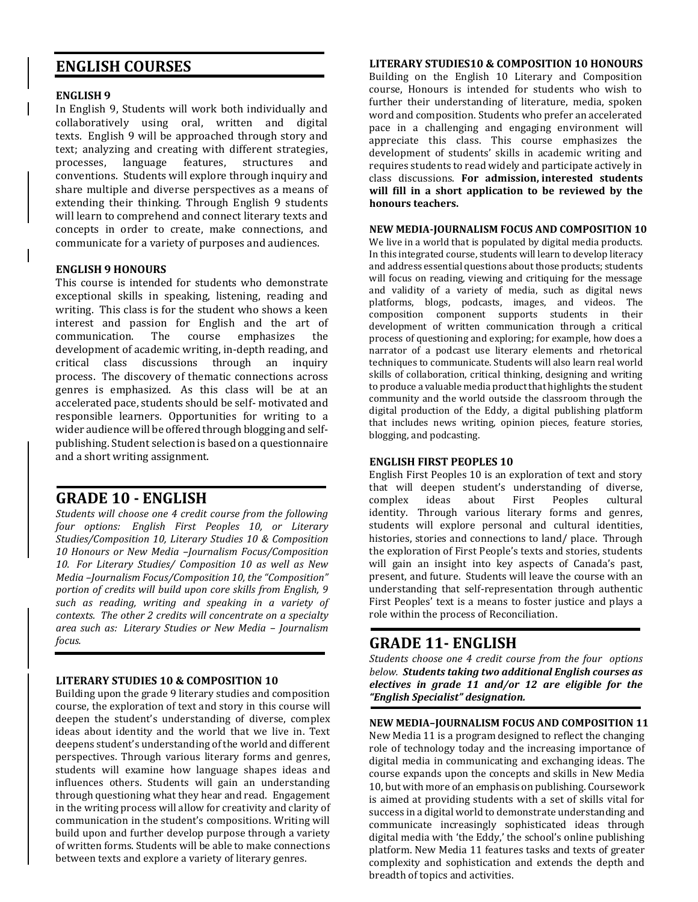## **ENGLISH COURSES**

#### **ENGLISH 9**

In English 9, Students will work both individually and collaboratively using oral, written and digital texts. English 9 will be approached through story and text; analyzing and creating with different strategies, processes, language features, structures and conventions. Students will explore through inquiry and share multiple and diverse perspectives as a means of extending their thinking. Through English 9 students will learn to comprehend and connect literary texts and concepts in order to create, make connections, and communicate for a variety of purposes and audiences.

#### **ENGLISH 9 HONOURS**

This course is intended for students who demonstrate exceptional skills in speaking, listening, reading and writing. This class is for the student who shows a keen interest and passion for English and the art of communication. The course emphasizes the development of academic writing, in-depth reading, and critical class discussions through an inquiry process. The discovery of thematic connections across genres is emphasized. As this class will be at an accelerated pace, students should be self- motivated and responsible learners. Opportunities for writing to a wider audience will be offered through blogging and selfpublishing. Student selection is based on a questionnaire and a short writing assignment.

## **GRADE 10 - ENGLISH**

*Students will choose one 4 credit course from the following four options: English First Peoples 10, or Literary Studies/Composition 10, Literary Studies 10 & Composition 10 Honours or New Media –Journalism Focus/Composition 10. For Literary Studies/ Composition 10 as well as New Media –Journalism Focus/Composition 10, the "Composition" portion of credits will build upon core skills from English, 9 such as reading, writing and speaking in a variety of contexts. The other 2 credits will concentrate on a specialty area such as: Literary Studies or New Media – Journalism focus.*

#### **LITERARY STUDIES 10 & COMPOSITION 10**

Building upon the grade 9 literary studies and composition course, the exploration of text and story in this course will deepen the student's understanding of diverse, complex ideas about identity and the world that we live in. Text deepens student's understanding of the world and different perspectives. Through various literary forms and genres, students will examine how language shapes ideas and influences others. Students will gain an understanding through questioning what they hear and read. Engagement in the writing process will allow for creativity and clarity of communication in the student's compositions. Writing will build upon and further develop purpose through a variety of written forms. Students will be able to make connections between texts and explore a variety of literary genres.

#### **LITERARY STUDIES10 & COMPOSITION 10 HONOURS**

Building on the English 10 Literary and Composition course, Honours is intended for students who wish to further their understanding of literature, media, spoken word and composition. Students who prefer an accelerated pace in a challenging and engaging environment will appreciate this class. This course emphasizes the development of students' skills in academic writing and requires students to read widely and participate actively in class discussions. **For admission, interested students will fill in a short application to be reviewed by the honours teachers.**

#### **NEW MEDIA-JOURNALISM FOCUS AND COMPOSITION 10**

We live in a world that is populated by digital media products. In this integrated course, students will learn to develop literacy and address essential questions about those products; students will focus on reading, viewing and critiquing for the message and validity of a variety of media, such as digital news platforms, blogs, podcasts, images, and videos. The composition component supports students in their development of written communication through a critical process of questioning and exploring; for example, how does a narrator of a podcast use literary elements and rhetorical techniques to communicate. Students will also learn real world skills of collaboration, critical thinking, designing and writing to produce a valuable media product that highlights the student community and the world outside the classroom through the digital production of the Eddy, a digital publishing platform that includes news writing, opinion pieces, feature stories, blogging, and podcasting.

#### **ENGLISH FIRST PEOPLES 10**

English First Peoples 10 is an exploration of text and story that will deepen student's understanding of diverse, complex ideas about First Peoples cultural identity. Through various literary forms and genres, students will explore personal and cultural identities, histories, stories and connections to land/ place. Through the exploration of First People's texts and stories, students will gain an insight into key aspects of Canada's past, present, and future. Students will leave the course with an understanding that self-representation through authentic First Peoples' text is a means to foster justice and plays a role within the process of Reconciliation.

## **GRADE 11- ENGLISH**

*Students choose one 4 credit course from the four options below. Students taking two additional English courses as electives in grade 11 and/or 12 are eligible for the "English Specialist" designation.*

#### **NEW MEDIA–JOURNALISM FOCUS AND COMPOSITION 11**

New Media 11 is a program designed to reflect the changing role of technology today and the increasing importance of digital media in communicating and exchanging ideas. The course expands upon the concepts and skills in New Media 10, but with more of an emphasis on publishing. Coursework is aimed at providing students with a set of skills vital for success in a digital world to demonstrate understanding and communicate increasingly sophisticated ideas through digital media with 'the Eddy,' the school's online publishing platform. New Media 11 features tasks and texts of greater complexity and sophistication and extends the depth and breadth of topics and activities.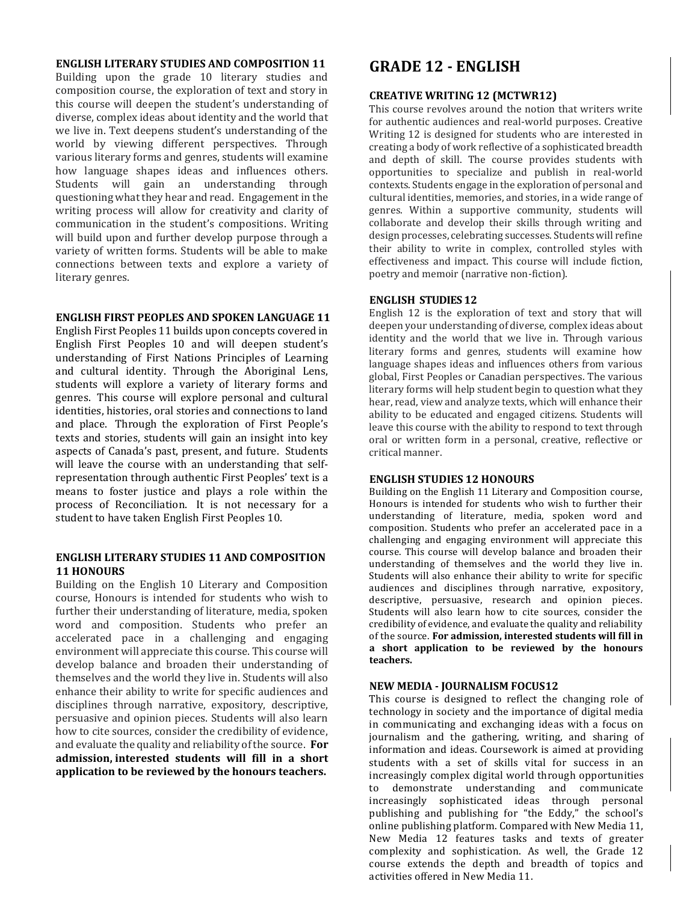#### **ENGLISH LITERARY STUDIES AND COMPOSITION 11**

Building upon the grade 10 literary studies and composition course, the exploration of text and story in this course will deepen the student's understanding of diverse, complex ideas about identity and the world that we live in. Text deepens student's understanding of the world by viewing different perspectives. Through various literary forms and genres, students will examine how language shapes ideas and influences others. Students will gain an understanding through questioning what they hear and read. Engagement in the writing process will allow for creativity and clarity of communication in the student's compositions. Writing will build upon and further develop purpose through a variety of written forms. Students will be able to make connections between texts and explore a variety of literary genres.

#### **ENGLISH FIRST PEOPLES AND SPOKEN LANGUAGE 11**

English First Peoples 11 builds upon concepts covered in English First Peoples 10 and will deepen student's understanding of First Nations Principles of Learning and cultural identity. Through the Aboriginal Lens, students will explore a variety of literary forms and genres. This course will explore personal and cultural identities, histories, oral stories and connections to land and place. Through the exploration of First People's texts and stories, students will gain an insight into key aspects of Canada's past, present, and future. Students will leave the course with an understanding that selfrepresentation through authentic First Peoples' text is a means to foster justice and plays a role within the process of Reconciliation. It is not necessary for a student to have taken English First Peoples 10.

#### **ENGLISH LITERARY STUDIES 11 AND COMPOSITION 11 HONOURS**

Building on the English 10 Literary and Composition course, Honours is intended for students who wish to further their understanding of literature, media, spoken word and composition. Students who prefer an accelerated pace in a challenging and engaging environment will appreciate this course. This course will develop balance and broaden their understanding of themselves and the world they live in. Students will also enhance their ability to write for specific audiences and disciplines through narrative, expository, descriptive, persuasive and opinion pieces. Students will also learn how to cite sources, consider the credibility of evidence, and evaluate the quality and reliability of the source. **For admission, interested students will fill in a short application to be reviewed by the honours teachers.**

## **GRADE 12 - ENGLISH**

#### **CREATIVE WRITING 12 (MCTWR12)**

This course revolves around the notion that writers write for authentic audiences and real-world purposes. Creative Writing 12 is designed for students who are interested in creating a body of work reflective of a sophisticated breadth and depth of skill. The course provides students with opportunities to specialize and publish in real-world contexts. Students engage in the exploration of personal and cultural identities, memories, and stories, in a wide range of genres. Within a supportive community, students will collaborate and develop their skills through writing and design processes, celebrating successes. Students will refine their ability to write in complex, controlled styles with effectiveness and impact. This course will include fiction, poetry and memoir (narrative non-fiction).

#### **ENGLISH STUDIES 12**

English 12 is the exploration of text and story that will deepen your understanding of diverse, complex ideas about identity and the world that we live in. Through various literary forms and genres, students will examine how language shapes ideas and influences others from various global, First Peoples or Canadian perspectives. The various literary forms will help student begin to question what they hear, read, view and analyze texts, which will enhance their ability to be educated and engaged citizens. Students will leave this course with the ability to respond to text through oral or written form in a personal, creative, reflective or critical manner.

#### **ENGLISH STUDIES 12 HONOURS**

Building on the English 11 Literary and Composition course, Honours is intended for students who wish to further their understanding of literature, media, spoken word and composition. Students who prefer an accelerated pace in a challenging and engaging environment will appreciate this course. This course will develop balance and broaden their understanding of themselves and the world they live in. Students will also enhance their ability to write for specific audiences and disciplines through narrative, expository, descriptive, persuasive, research and opinion pieces. Students will also learn how to cite sources, consider the credibility of evidence, and evaluate the quality and reliability of the source. **For admission, interested students will fill in a short application to be reviewed by the honours teachers.**

#### **NEW MEDIA - JOURNALISM FOCUS12**

This course is designed to reflect the changing role of technology in society and the importance of digital media in communicating and exchanging ideas with a focus on journalism and the gathering, writing, and sharing of information and ideas. Coursework is aimed at providing students with a set of skills vital for success in an increasingly complex digital world through opportunities to demonstrate understanding and communicate increasingly sophisticated ideas through personal publishing and publishing for "the Eddy," the school's online publishing platform. Compared with New Media 11, New Media 12 features tasks and texts of greater complexity and sophistication. As well, the Grade 12 course extends the depth and breadth of topics and activities offered in New Media 11.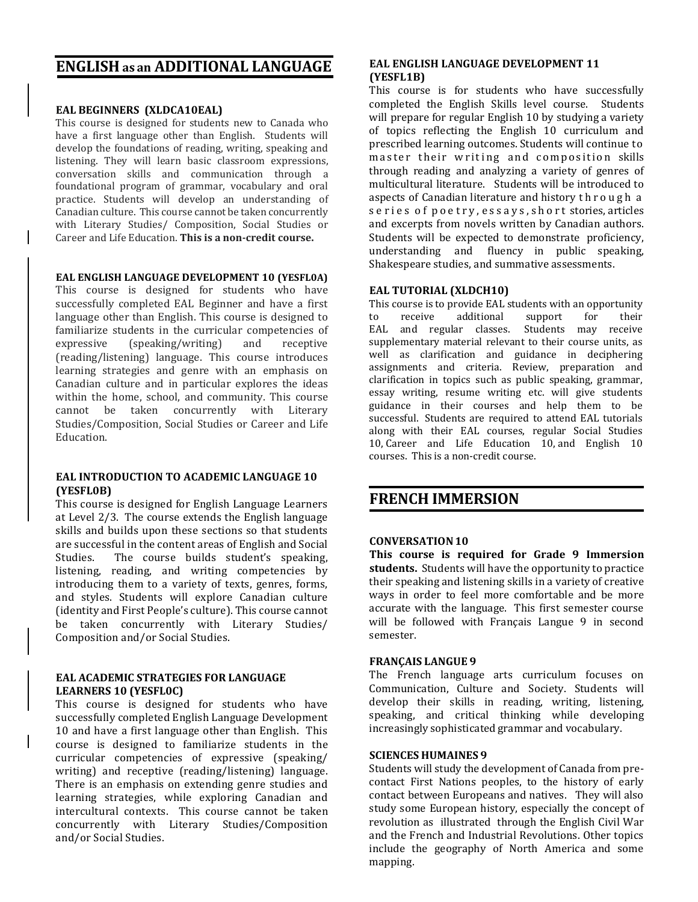## **ENGLISH as an ADDITIONAL LANGUAGE**

#### **EAL BEGINNERS (XLDCA10EAL)**

This course is designed for students new to Canada who have a first language other than English. Students will develop the foundations of reading, writing, speaking and listening. They will learn basic classroom expressions, conversation skills and communication through a foundational program of grammar, vocabulary and oral practice. Students will develop an understanding of Canadian culture. This course cannot be taken concurrently with Literary Studies/ Composition, Social Studies or Career and Life Education. **This is a non-credit course.**

#### **EAL ENGLISH LANGUAGE DEVELOPMENT 10 (YESFL0A)**

This course is designed for students who have successfully completed EAL Beginner and have a first language other than English. This course is designed to familiarize students in the curricular competencies of expressive (speaking/writing) and receptive (reading/listening) language. This course introduces learning strategies and genre with an emphasis on Canadian culture and in particular explores the ideas within the home, school, and community. This course cannot be taken concurrently with Literary Studies/Composition, Social Studies or Career and Life Education.

#### **EAL INTRODUCTION TO ACADEMIC LANGUAGE 10 (YESFL0B)**

This course is designed for English Language Learners at Level 2/3. The course extends the English language skills and builds upon these sections so that students are successful in the content areas of English and Social Studies. The course builds student's speaking, listening, reading, and writing competencies by introducing them to a variety of texts, genres, forms, and styles. Students will explore Canadian culture (identity and First People's culture). This course cannot be taken concurrently with Literary Studies/ Composition and/or Social Studies.

#### **EAL ACADEMIC STRATEGIES FOR LANGUAGE LEARNERS 10 (YESFL0C)**

This course is designed for students who have successfully completed English Language Development 10 and have a first language other than English. This course is designed to familiarize students in the curricular competencies of expressive (speaking/ writing) and receptive (reading/listening) language. There is an emphasis on extending genre studies and learning strategies, while exploring Canadian and intercultural contexts. This course cannot be taken concurrently with Literary Studies/Composition and/or Social Studies.

#### **EAL ENGLISH LANGUAGE DEVELOPMENT 11 (YESFL1B)**

This course is for students who have successfully completed the English Skills level course. Students will prepare for regular English 10 by studying a variety of topics reflecting the English 10 curriculum and prescribed learning outcomes. Students will continue to master their writing and composition skills through reading and analyzing a variety of genres of multicultural literature. Students will be introduced to aspects of Canadian literature and history t h r o u g h a s e ries of poetry, essays, short stories, articles and excerpts from novels written by Canadian authors. Students will be expected to demonstrate proficiency, understanding and fluency in public speaking, Shakespeare studies, and summative assessments.

#### **EAL TUTORIAL (XLDCH10)**

This course is to provide EAL students with an opportunity to receive additional support for their EAL and regular classes. Students may receive supplementary material relevant to their course units, as well as clarification and guidance in deciphering assignments and criteria. Review, preparation and clarification in topics such as public speaking, grammar, essay writing, resume writing etc. will give students guidance in their courses and help them to be successful. Students are required to attend EAL tutorials along with their EAL courses, regular Social Studies 10, Career and Life Education 10, and English 10 courses. This is a non-credit course.

## **FRENCH IMMERSION**

#### **CONVERSATION10**

**This course is required for Grade 9 Immersion students.** Students will have the opportunity to practice their speaking and listening skills in a variety of creative ways in order to feel more comfortable and be more accurate with the language. This first semester course will be followed with Français Langue 9 in second semester.

#### **FRANÇAIS LANGUE 9**

The French language arts curriculum focuses on Communication, Culture and Society. Students will develop their skills in reading, writing, listening, speaking, and critical thinking while developing increasingly sophisticated grammar and vocabulary.

#### **SCIENCES HUMAINES 9**

Students will study the development of Canada from precontact First Nations peoples, to the history of early contact between Europeans and natives. They will also study some European history, especially the concept of revolution as illustrated through the English Civil War and the French and Industrial Revolutions. Other topics include the geography of North America and some mapping.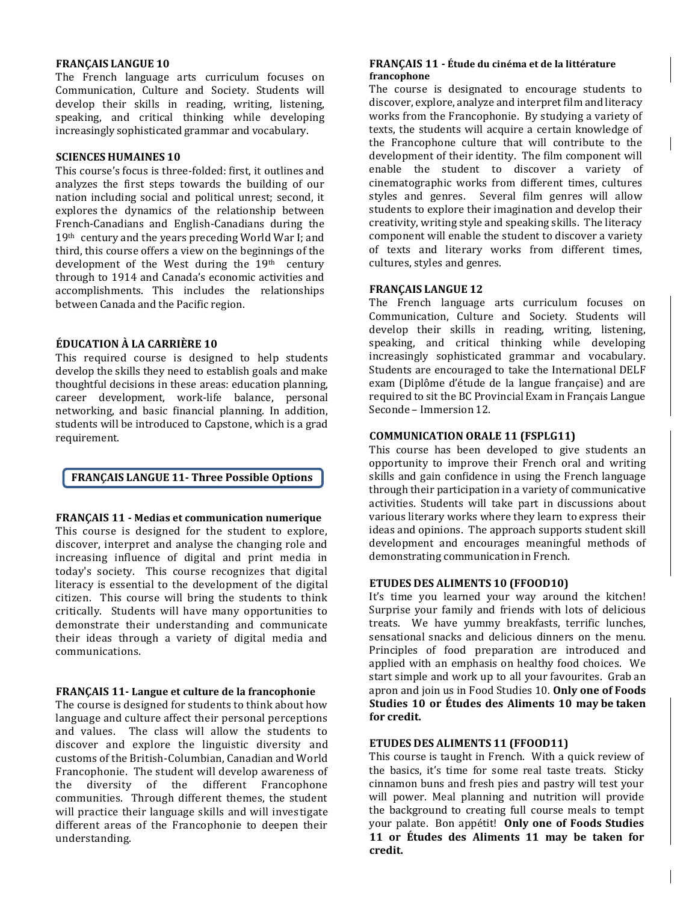#### **FRANÇAIS LANGUE 10**

The French language arts curriculum focuses on Communication, Culture and Society. Students will develop their skills in reading, writing, listening, speaking, and critical thinking while developing increasingly sophisticated grammar and vocabulary.

#### **SCIENCES HUMAINES 10**

This course's focus is three-folded: first, it outlines and analyzes the first steps towards the building of our nation including social and political unrest; second, it explores the dynamics of the relationship between French-Canadians and English-Canadians during the 19th century and the years preceding World War I; and third, this course offers a view on the beginnings of the development of the West during the 19th century through to 1914 and Canada's economic activities and accomplishments. This includes the relationships between Canada and the Pacific region.

#### **ÉDUCATION À LA CARRIÈRE 10**

This required course is designed to help students develop the skills they need to establish goals and make thoughtful decisions in these areas: education planning, career development, work-life balance, personal networking, and basic financial planning. In addition, students will be introduced to Capstone, which is a grad requirement.

#### **FRANÇAIS LANGUE 11- Three Possible Options**

#### **FRANÇAIS 11 - Medias et communication numerique**

This course is designed for the student to explore, discover, interpret and analyse the changing role and increasing influence of digital and print media in today's society. This course recognizes that digital literacy is essential to the development of the digital citizen. This course will bring the students to think critically. Students will have many opportunities to demonstrate their understanding and communicate their ideas through a variety of digital media and communications.

#### **FRANÇAIS 11- Langue et culture de la francophonie**

The course is designed for students to think about how language and culture affect their personal perceptions and values. The class will allow the students to discover and explore the linguistic diversity and customs of the British-Columbian, Canadian and World Francophonie. The student will develop awareness of the diversity of the different Francophone communities. Through different themes, the student will practice their language skills and will investigate different areas of the Francophonie to deepen their understanding.

#### **FRANÇAIS 11 - Étude du cinéma et de la littérature francophone**

The course is designated to encourage students to discover, explore, analyze and interpret film and literacy works from the Francophonie. By studying a variety of texts, the students will acquire a certain knowledge of the Francophone culture that will contribute to the development of their identity. The film component will enable the student to discover a variety of cinematographic works from different times, cultures styles and genres. Several film genres will allow students to explore their imagination and develop their creativity, writing style and speaking skills. The literacy component will enable the student to discover a variety of texts and literary works from different times, cultures, styles and genres.

#### **FRANÇAIS LANGUE 12**

The French language arts curriculum focuses on Communication, Culture and Society. Students will develop their skills in reading, writing, listening, speaking, and critical thinking while developing increasingly sophisticated grammar and vocabulary. Students are encouraged to take the International DELF exam (Diplôme d'étude de la langue française) and are required to sit the BC Provincial Exam in Français Langue Seconde – Immersion 12.

#### **COMMUNICATION ORALE 11 (FSPLG11)**

This course has been developed to give students an opportunity to improve their French oral and writing skills and gain confidence in using the French language through their participation in a variety of communicative activities. Students will take part in discussions about various literary works where they learn to express their ideas and opinions. The approach supports student skill development and encourages meaningful methods of demonstrating communication in French.

#### **ETUDES DES ALIMENTS 10 (FFOOD10)**

It's time you learned your way around the kitchen! Surprise your family and friends with lots of delicious treats. We have yummy breakfasts, terrific lunches, sensational snacks and delicious dinners on the menu. Principles of food preparation are introduced and applied with an emphasis on healthy food choices. We start simple and work up to all your favourites. Grab an apron and join us in Food Studies 10. **Only one of Foods Studies 10 or Études des Aliments 10 may be taken for credit.**

#### **ETUDES DES ALIMENTS 11 (FFOOD11)**

This course is taught in French. With a quick review of the basics, it's time for some real taste treats. Sticky cinnamon buns and fresh pies and pastry will test your will power. Meal planning and nutrition will provide the background to creating full course meals to tempt your palate. Bon appétit! **Only one of Foods Studies 11 or Études des Aliments 11 may be taken for credit.**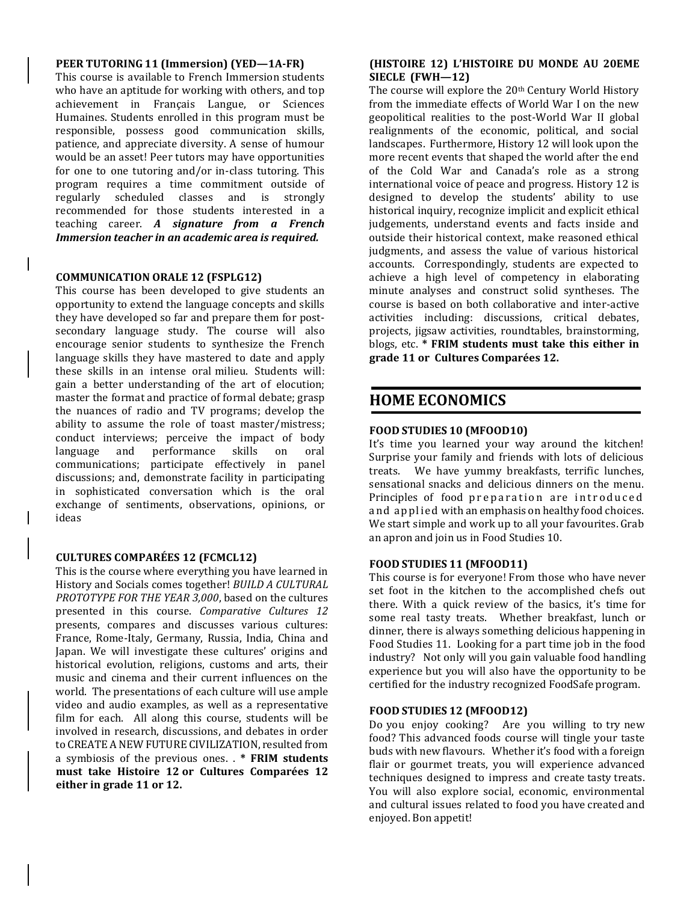#### **PEER TUTORING 11 (Immersion) (YED—1A-FR)**

This course is available to French Immersion students who have an aptitude for working with others, and top achievement in Français Langue, or Sciences Humaines. Students enrolled in this program must be responsible, possess good communication skills, patience, and appreciate diversity. A sense of humour would be an asset! Peer tutors may have opportunities for one to one tutoring and/or in-class tutoring. This program requires a time commitment outside of regularly scheduled classes and is strongly recommended for those students interested in a teaching career. *A signature from a French Immersion teacher in an academic area is required.*

#### **COMMUNICATION ORALE 12 (FSPLG12)**

This course has been developed to give students an opportunity to extend the language concepts and skills they have developed so far and prepare them for postsecondary language study. The course will also encourage senior students to synthesize the French language skills they have mastered to date and apply these skills in an intense oral milieu. Students will: gain a better understanding of the art of elocution; master the format and practice of formal debate; grasp the nuances of radio and TV programs; develop the ability to assume the role of toast master/mistress; conduct interviews; perceive the impact of body language and performance skills on oral communications; participate effectively in panel discussions; and, demonstrate facility in participating in sophisticated conversation which is the oral exchange of sentiments, observations, opinions, or ideas

#### **CULTURES COMPARÉES 12 (FCMCL12)**

This is the course where everything you have learned in History and Socials comes together! *BUILD A CULTURAL PROTOTYPE FOR THE YEAR 3,000*, based on the cultures presented in this course. *Comparative Cultures 12* presents, compares and discusses various cultures: France, Rome-Italy, Germany, Russia, India, China and Japan. We will investigate these cultures' origins and historical evolution, religions, customs and arts, their music and cinema and their current influences on the world. The presentations of each culture will use ample video and audio examples, as well as a representative film for each. All along this course, students will be involved in research, discussions, and debates in order to CREATE A NEW FUTURE CIVILIZATION, resulted from a symbiosis of the previous ones. . **\* FRIM students must take Histoire 12 or Cultures Comparées 12 either in grade 11 or 12.**

#### **(HISTOIRE 12) L'HISTOIRE DU MONDE AU 20EME SIECLE (FWH—12)**

The course will explore the 20<sup>th</sup> Century World History from the immediate effects of World War I on the new geopolitical realities to the post-World War II global realignments of the economic, political, and social landscapes. Furthermore, History 12 will look upon the more recent events that shaped the world after the end of the Cold War and Canada's role as a strong international voice of peace and progress. History 12 is designed to develop the students' ability to use historical inquiry, recognize implicit and explicit ethical judgements, understand events and facts inside and outside their historical context, make reasoned ethical judgments, and assess the value of various historical accounts. Correspondingly, students are expected to achieve a high level of competency in elaborating minute analyses and construct solid syntheses. The course is based on both collaborative and inter-active activities including: discussions, critical debates, projects, jigsaw activities, roundtables, brainstorming, blogs, etc. **\* FRIM students must take this either in grade 11 or Cultures Comparées 12.**

## **HOME ECONOMICS**

#### **FOOD STUDIES 10 (MFOOD10)**

It's time you learned your way around the kitchen! Surprise your family and friends with lots of delicious treats. We have yummy breakfasts, terrific lunches, sensational snacks and delicious dinners on the menu. Principles of food preparation are introduced and applied with an emphasis on healthy food choices. We start simple and work up to all your favourites. Grab an apron and join us in Food Studies 10.

#### **FOOD STUDIES 11 (MFOOD11)**

This course is for everyone! From those who have never set foot in the kitchen to the accomplished chefs out there. With a quick review of the basics, it's time for some real tasty treats. Whether breakfast, lunch or dinner, there is always something delicious happening in Food Studies 11. Looking for a part time job in the food industry? Not only will you gain valuable food handling experience but you will also have the opportunity to be certified for the industry recognized FoodSafe program.

#### **FOOD STUDIES 12 (MFOOD12)**

Do you enjoy cooking? Are you willing to try new food? This advanced foods course will tingle your taste buds with new flavours. Whether it's food with a foreign flair or gourmet treats, you will experience advanced techniques designed to impress and create tasty treats. You will also explore social, economic, environmental and cultural issues related to food you have created and enjoyed. Bon appetit!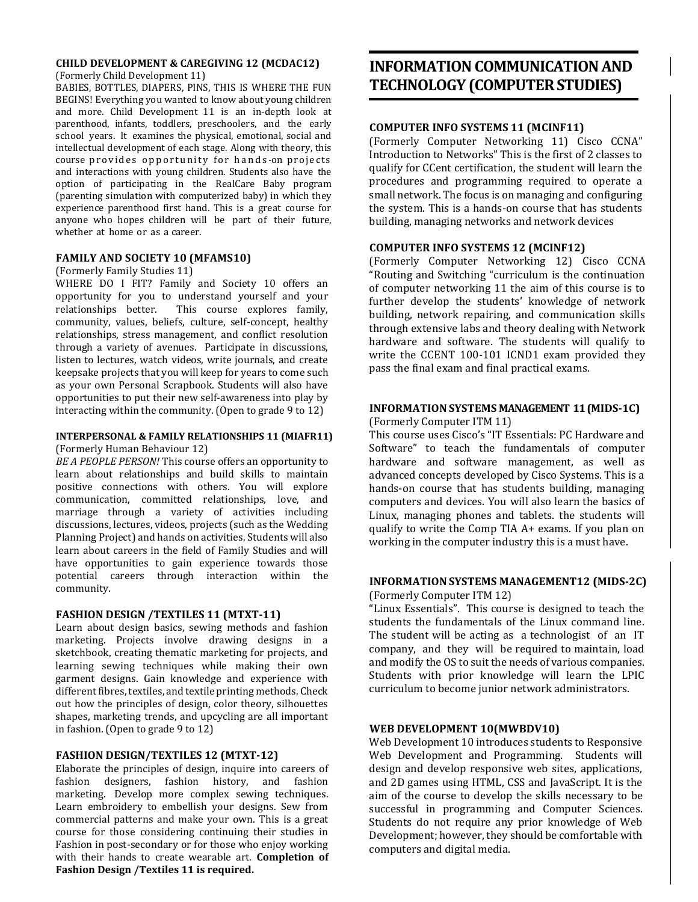#### **CHILD DEVELOPMENT & CAREGIVING 12 (MCDAC12)** (Formerly Child Development 11)

BABIES, BOTTLES, DIAPERS, PINS, THIS IS WHERE THE FUN BEGINS! Everything you wanted to know about young children and more. Child Development 11 is an in-depth look at parenthood, infants, toddlers, preschoolers, and the early school years. It examines the physical, emotional, social and intellectual development of each stage. Along with theory, this

course provides opportunity for hands-on projects and interactions with young children. Students also have the option of participating in the RealCare Baby program (parenting simulation with computerized baby) in which they experience parenthood first hand. This is a great course for anyone who hopes children will be part of their future, whether at home or as a career.

#### **FAMILY AND SOCIETY 10 (MFAMS10)**

#### (Formerly Family Studies 11)

WHERE DO I FIT? Family and Society 10 offers an opportunity for you to understand yourself and your relationships better. This course explores family, community, values, beliefs, culture, self-concept, healthy relationships, stress management, and conflict resolution through a variety of avenues. Participate in discussions, listen to lectures, watch videos, write journals, and create keepsake projects that you will keep for years to come such as your own Personal Scrapbook. Students will also have opportunities to put their new self-awareness into play by interacting within the community. (Open to grade 9 to 12)

#### **INTERPERSONAL & FAMILY RELATIONSHIPS 11 (MIAFR11)** (Formerly Human Behaviour 12)

*BE A PEOPLE PERSON!* This course offers an opportunity to learn about relationships and build skills to maintain positive connections with others. You will explore communication, committed relationships, love, and marriage through a variety of activities including discussions, lectures, videos, projects (such as the Wedding Planning Project) and hands on activities. Students will also learn about careers in the field of Family Studies and will have opportunities to gain experience towards those potential careers through interaction within the community.

#### **FASHION DESIGN /TEXTILES 11 (MTXT-11)**

Learn about design basics, sewing methods and fashion marketing. Projects involve drawing designs in a sketchbook, creating thematic marketing for projects, and learning sewing techniques while making their own garment designs. Gain knowledge and experience with different fibres, textiles, and textile printing methods. Check out how the principles of design, color theory, silhouettes shapes, marketing trends, and upcycling are all important in fashion. (Open to grade 9 to 12)

#### **FASHION DESIGN/TEXTILES 12 (MTXT-12)**

Elaborate the principles of design, inquire into careers of fashion designers, fashion history, and fashion marketing. Develop more complex sewing techniques. Learn embroidery to embellish your designs. Sew from commercial patterns and make your own. This is a great course for those considering continuing their studies in Fashion in post-secondary or for those who enjoy working with their hands to create wearable art. **Completion of Fashion Design /Textiles 11 is required.**

## **INFORMATION COMMUNICATION AND TECHNOLOGY (COMPUTERSTUDIES)**

#### **COMPUTER INFO SYSTEMS 11 (MCINF11)**

(Formerly Computer Networking 11) Cisco CCNA" Introduction to Networks" This is the first of 2 classes to qualify for CCent certification, the student will learn the procedures and programming required to operate a small network. The focus is on managing and configuring the system. This is a hands-on course that has students building, managing networks and network devices

#### **COMPUTER INFO SYSTEMS 12 (MCINF12)**

(Formerly Computer Networking 12) Cisco CCNA "Routing and Switching "curriculum is the continuation of computer networking 11 the aim of this course is to further develop the students' knowledge of network building, network repairing, and communication skills through extensive labs and theory dealing with Network hardware and software. The students will qualify to write the CCENT 100-101 ICND1 exam provided they pass the final exam and final practical exams.

#### **INFORMATIONSYSTEMS MANAGEMENT 11 (MIDS-1C)**

(Formerly Computer ITM 11)

This course uses Cisco's "IT Essentials: PC Hardware and Software" to teach the fundamentals of computer hardware and software management, as well as advanced concepts developed by Cisco Systems. This is a hands-on course that has students building, managing computers and devices. You will also learn the basics of Linux, managing phones and tablets. the students will qualify to write the Comp TIA A+ exams. If you plan on working in the computer industry this is a must have.

## **INFORMATIONSYSTEMS MANAGEMENT12 (MIDS-2C)**

(Formerly Computer ITM 12)

"Linux Essentials". This course is designed to teach the students the fundamentals of the Linux command line. The student will be acting as a technologist of an IT company, and they will be required to maintain, load and modify the OS to suit the needs of various companies. Students with prior knowledge will learn the LPIC curriculum to become junior network administrators.

#### **WEB DEVELOPMENT 10(MWBDV10)**

Web Development 10 introduces students to Responsive Web Development and Programming. Students will design and develop responsive web sites, applications, and 2D games using HTML, CSS and JavaScript. It is the aim of the course to develop the skills necessary to be successful in programming and Computer Sciences. Students do not require any prior knowledge of Web Development; however, they should be comfortable with computers and digital media.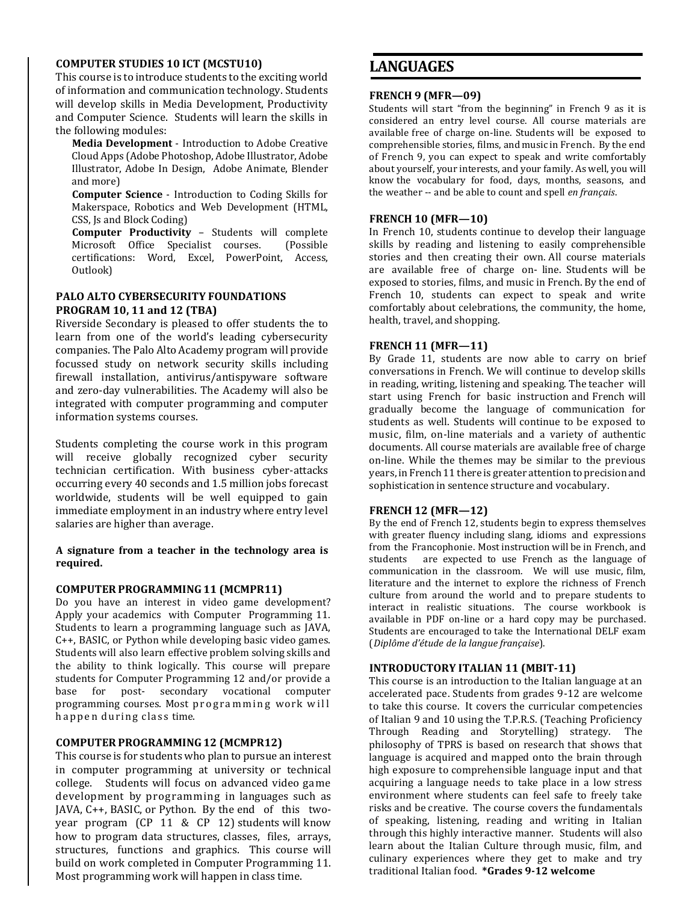#### **COMPUTER STUDIES 10 ICT (MCSTU10)**

This course is to introduce students to the exciting world of information and communication technology. Students will develop skills in Media Development, Productivity and Computer Science. Students will learn the skills in the following modules:

**Media Development** - Introduction to Adobe Creative Cloud Apps (Adobe Photoshop, Adobe Illustrator, Adobe Illustrator, Adobe In Design, Adobe Animate, Blender and more)

**Computer Science** - Introduction to Coding Skills for Makerspace, Robotics and Web Development (HTML, CSS, Js and Block Coding)

**Computer Productivity** – Students will complete Microsoft Office Specialist courses. (Possible certifications: Word, Excel, PowerPoint, Access, Outlook)

#### **PALO ALTO CYBERSECURITY FOUNDATIONS PROGRAM 10, 11 and 12 (TBA)**

Riverside Secondary is pleased to offer students the to learn from one of the world's leading cybersecurity companies. The Palo Alto Academy program will provide focussed study on network security skills including firewall installation, antivirus/antispyware software and zero-day vulnerabilities. The Academy will also be integrated with computer programming and computer information systems courses.

Students completing the course work in this program will receive globally recognized cyber security technician certification. With business cyber-attacks occurring every 40 seconds and 1.5 million jobs forecast worldwide, students will be well equipped to gain immediate employment in an industry where entry level salaries are higher than average.

**A signature from a teacher in the technology area is required.**

#### **COMPUTER PROGRAMMING11 (MCMPR11)**

Do you have an interest in video game development? Apply your academics with Computer Programming 11. Students to learn a programming language such as JAVA, C++, BASIC, or Python while developing basic video games. Students will also learn effective problem solving skills and the ability to think logically. This course will prepare students for Computer Programming 12 and/or provide a base for post- secondary vocational computer programming courses. Most programming work will happen during class time.

#### **COMPUTER PROGRAMMING12 (MCMPR12)**

This course is for students who plan to pursue an interest in computer programming at university or technical college. Students will focus on advanced video game development by programming in languages such as JAVA, C++, BASIC, or Python. By the end of this twoyear program (CP 11 & CP 12) students will know how to program data structures, classes, files, arrays, structures, functions and graphics. This course will build on work completed in Computer Programming 11. Most programming work will happen in class time.

## **LANGUAGES**

#### **FRENCH 9 (MFR—09)**

Students will start "from the beginning" in French 9 as it is considered an entry level course. All course materials are available free of charge on-line. Students will be exposed to comprehensible stories, films, and music in French. By the end of French 9, you can expect to speak and write comfortably about yourself, your interests, and your family. As well, you will know the vocabulary for food, days, months, seasons, and the weather -- and be able to count and spell *en français*.

#### **FRENCH 10 (MFR—10)**

In French 10, students continue to develop their language skills by reading and listening to easily comprehensible stories and then creating their own. All course materials are available free of charge on- line. Students will be exposed to stories, films, and music in French. By the end of French 10, students can expect to speak and write comfortably about celebrations, the community, the home, health, travel, and shopping.

#### **FRENCH 11 (MFR—11)**

By Grade 11, students are now able to carry on brief conversations in French. We will continue to develop skills in reading, writing, listening and speaking. The teacher will start using French for basic instruction and French will gradually become the language of communication for students as well. Students will continue to be exposed to music, film, on-line materials and a variety of authentic documents. All course materials are available free of charge on-line. While the themes may be similar to the previous years, in French 11 there is greater attention to precision and sophistication in sentence structure and vocabulary.

#### **FRENCH 12 (MFR—12)**

By the end of French 12, students begin to express themselves with greater fluency including slang, idioms and expressions from the Francophonie. Most instruction will be in French, and students are expected to use French as the language of communication in the classroom. We will use music, film, literature and the internet to explore the richness of French culture from around the world and to prepare students to interact in realistic situations. The course workbook is available in PDF on-line or a hard copy may be purchased. Students are encouraged to take the International DELF exam (*Diplôme d'étude de la langue française*).

#### **INTRODUCTORY ITALIAN 11 (MBIT-11)**

This course is an introduction to the Italian language at an accelerated pace. Students from grades 9-12 are welcome to take this course. It covers the curricular competencies of Italian 9 and 10 using the T.P.R.S. (Teaching Proficiency Through Reading and Storytelling) strategy. The philosophy of TPRS is based on research that shows that language is acquired and mapped onto the brain through high exposure to comprehensible language input and that acquiring a language needs to take place in a low stress environment where students can feel safe to freely take risks and be creative. The course covers the fundamentals of speaking, listening, reading and writing in Italian through this highly interactive manner. Students will also learn about the Italian Culture through music, film, and culinary experiences where they get to make and try traditional Italian food. **\*Grades 9-12 welcome**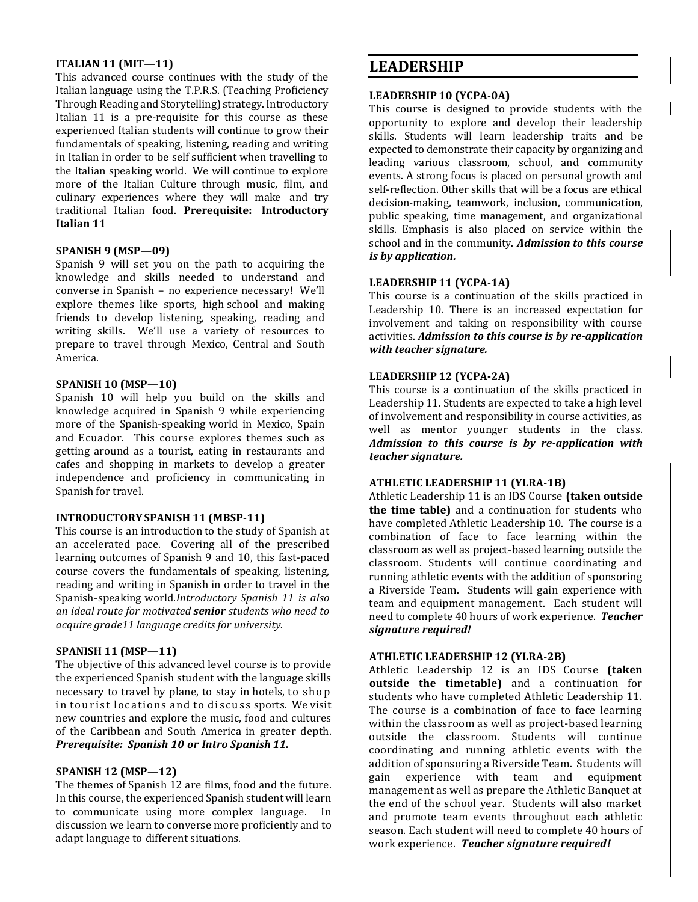#### **ITALIAN 11 (MIT—11)**

This advanced course continues with the study of the Italian language using the T.P.R.S. (Teaching Proficiency Through Reading and Storytelling) strategy. Introductory Italian 11 is a pre-requisite for this course as these experienced Italian students will continue to grow their fundamentals of speaking, listening, reading and writing in Italian in order to be self sufficient when travelling to the Italian speaking world. We will continue to explore more of the Italian Culture through music, film, and culinary experiences where they will make and try traditional Italian food. **Prerequisite: Introductory Italian 11**

#### **SPANISH 9 (MSP—09)**

Spanish 9 will set you on the path to acquiring the knowledge and skills needed to understand and converse in Spanish – no experience necessary! We'll explore themes like sports, high school and making friends to develop listening, speaking, reading and writing skills. We'll use a variety of resources to prepare to travel through Mexico, Central and South America.

#### **SPANISH 10 (MSP—10)**

Spanish 10 will help you build on the skills and knowledge acquired in Spanish 9 while experiencing more of the Spanish-speaking world in Mexico, Spain and Ecuador. This course explores themes such as getting around as a tourist, eating in restaurants and cafes and shopping in markets to develop a greater independence and proficiency in communicating in Spanish for travel.

#### **INTRODUCTORYSPANISH 11 (MBSP-11)**

This course is an introduction to the study of Spanish at an accelerated pace. Covering all of the prescribed learning outcomes of Spanish 9 and 10, this fast-paced course covers the fundamentals of speaking, listening, reading and writing in Spanish in order to travel in the Spanish-speaking world.*Introductory Spanish 11 is also an ideal route for motivated senior students who need to acquire grade11 language credits for university.*

#### **SPANISH 11 (MSP—11)**

The objective of this advanced level course is to provide the experienced Spanish student with the language skills necessary to travel by plane, to stay in hotels, to shop in tourist locations and to discuss sports. We visit new countries and explore the music, food and cultures of the Caribbean and South America in greater depth. *Prerequisite: Spanish 10 or Intro Spanish 11.*

#### **SPANISH 12 (MSP—12)**

The themes of Spanish 12 are films, food and the future. In this course, the experienced Spanish student will learn to communicate using more complex language. In discussion we learn to converse more proficiently and to adapt language to different situations.

## **LEADERSHIP**

#### **LEADERSHIP 10 (YCPA-0A)**

This course is designed to provide students with the opportunity to explore and develop their leadership skills. Students will learn leadership traits and be expected to demonstrate their capacity by organizing and leading various classroom, school, and community events. A strong focus is placed on personal growth and self-reflection. Other skills that will be a focus are ethical decision-making, teamwork, inclusion, communication, public speaking, time management, and organizational skills. Emphasis is also placed on service within the school and in the community. *Admission to this course is by application.*

#### **LEADERSHIP 11 (YCPA-1A)**

This course is a continuation of the skills practiced in Leadership 10. There is an increased expectation for involvement and taking on responsibility with course activities. *Admission to this course is by re-application with teacher signature.*

#### **LEADERSHIP 12 (YCPA-2A)**

This course is a continuation of the skills practiced in Leadership 11. Students are expected to take a high level of involvement and responsibility in course activities, as well as mentor younger students in the class. *Admission to this course is by re-application with teacher signature.*

#### **ATHLETIC LEADERSHIP 11 (YLRA-1B)**

Athletic Leadership 11 is an IDS Course **(taken outside the time table)** and a continuation for students who have completed Athletic Leadership 10. The course is a combination of face to face learning within the classroom as well as project-based learning outside the classroom. Students will continue coordinating and running athletic events with the addition of sponsoring a Riverside Team. Students will gain experience with team and equipment management. Each student will need to complete 40 hours of work experience. *Teacher signature required!*

#### **ATHLETIC LEADERSHIP 12 (YLRA-2B)**

Athletic Leadership 12 is an IDS Course **(taken outside the timetable)** and a continuation for students who have completed Athletic Leadership 11. The course is a combination of face to face learning within the classroom as well as project-based learning outside the classroom. Students will continue coordinating and running athletic events with the addition of sponsoring a Riverside Team. Students will gain experience with team and equipment management as well as prepare the Athletic Banquet at the end of the school year. Students will also market and promote team events throughout each athletic season. Each student will need to complete 40 hours of work experience. *Teacher signature required!*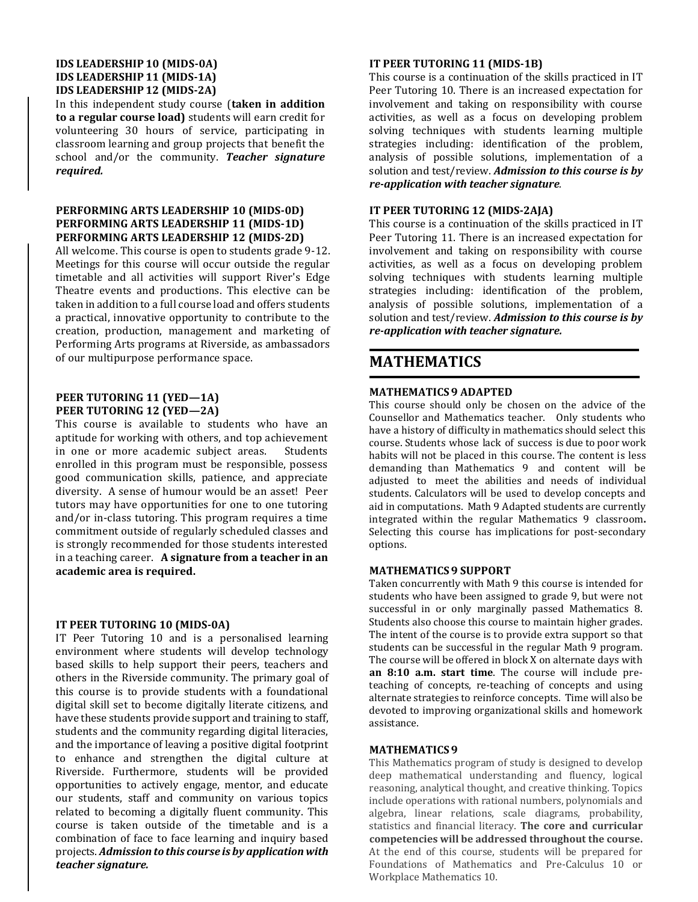#### **IDS LEADERSHIP 10 (MIDS-0A) IDS LEADERSHIP 11 (MIDS-1A) IDS LEADERSHIP 12 (MIDS-2A)**

In this independent study course (**taken in addition to a regular course load)** students will earn credit for volunteering 30 hours of service, participating in classroom learning and group projects that benefit the school and/or the community. *Teacher signature required.*

#### **PERFORMING ARTS LEADERSHIP 10 (MIDS-0D) PERFORMING ARTS LEADERSHIP 11 (MIDS-1D) PERFORMING ARTS LEADERSHIP 12 (MIDS-2D)**

All welcome. This course is open to students grade 9-12. Meetings for this course will occur outside the regular timetable and all activities will support River's Edge Theatre events and productions. This elective can be taken in addition to a full course load and offers students a practical, innovative opportunity to contribute to the creation, production, management and marketing of Performing Arts programs at Riverside, as ambassadors of our multipurpose performance space.

#### **PEER TUTORING 11 (YED—1A) PEER TUTORING 12 (YED—2A)**

This course is available to students who have an aptitude for working with others, and top achievement in one or more academic subject areas. Students enrolled in this program must be responsible, possess good communication skills, patience, and appreciate diversity. A sense of humour would be an asset! Peer tutors may have opportunities for one to one tutoring and/or in-class tutoring. This program requires a time commitment outside of regularly scheduled classes and is strongly recommended for those students interested in a teaching career. **A signature from a teacher in an academic area is required.**

#### **IT PEER TUTORING 10 (MIDS-0A)**

IT Peer Tutoring 10 and is a personalised learning environment where students will develop technology based skills to help support their peers, teachers and others in the Riverside community. The primary goal of this course is to provide students with a foundational digital skill set to become digitally literate citizens, and have these students provide support and training to staff, students and the community regarding digital literacies, and the importance of leaving a positive digital footprint to enhance and strengthen the digital culture at Riverside. Furthermore, students will be provided opportunities to actively engage, mentor, and educate our students, staff and community on various topics related to becoming a digitally fluent community. This course is taken outside of the timetable and is a combination of face to face learning and inquiry based projects. *Admission to this course is by application with teacher signature.*

#### **IT PEER TUTORING 11 (MIDS-1B)**

This course is a continuation of the skills practiced in IT Peer Tutoring 10. There is an increased expectation for involvement and taking on responsibility with course activities, as well as a focus on developing problem solving techniques with students learning multiple strategies including: identification of the problem, analysis of possible solutions, implementation of a solution and test/review. *Admission to this course is by re-application with teacher signature.*

#### **IT PEER TUTORING 12 (MIDS-2AJA)**

This course is a continuation of the skills practiced in IT Peer Tutoring 11. There is an increased expectation for involvement and taking on responsibility with course activities, as well as a focus on developing problem solving techniques with students learning multiple strategies including: identification of the problem, analysis of possible solutions, implementation of a solution and test/review. *Admission to this course is by re-application with teacher signature.*

## **MATHEMATICS**

#### **MATHEMATICS 9 ADAPTED**

This course should only be chosen on the advice of the Counsellor and Mathematics teacher. Only students who have a history of difficulty in mathematics should select this course. Students whose lack of success is due to poor work habits will not be placed in this course. The content is less demanding than Mathematics 9 and content will be adjusted to meet the abilities and needs of individual students. Calculators will be used to develop concepts and aid in computations. Math 9 Adapted students are currently integrated within the regular Mathematics 9 classroom**.**  Selecting this course has implications for post-secondary options.

#### **MATHEMATICS 9 SUPPORT**

Taken concurrently with Math 9 this course is intended for students who have been assigned to grade 9, but were not successful in or only marginally passed Mathematics 8. Students also choose this course to maintain higher grades. The intent of the course is to provide extra support so that students can be successful in the regular Math 9 program. The course will be offered in block X on alternate days with **an 8:10 a.m. start time**. The course will include preteaching of concepts, re-teaching of concepts and using alternate strategies to reinforce concepts. Time will also be devoted to improving organizational skills and homework assistance.

#### **MATHEMATICS 9**

This Mathematics program of study is designed to develop deep mathematical understanding and fluency, logical reasoning, analytical thought, and creative thinking. Topics include operations with rational numbers, polynomials and algebra, linear relations, scale diagrams, probability, statistics and financial literacy. **The core and curricular competencies will be addressed throughout the course.** At the end of this course, students will be prepared for Foundations of Mathematics and Pre-Calculus 10 or Workplace Mathematics 10.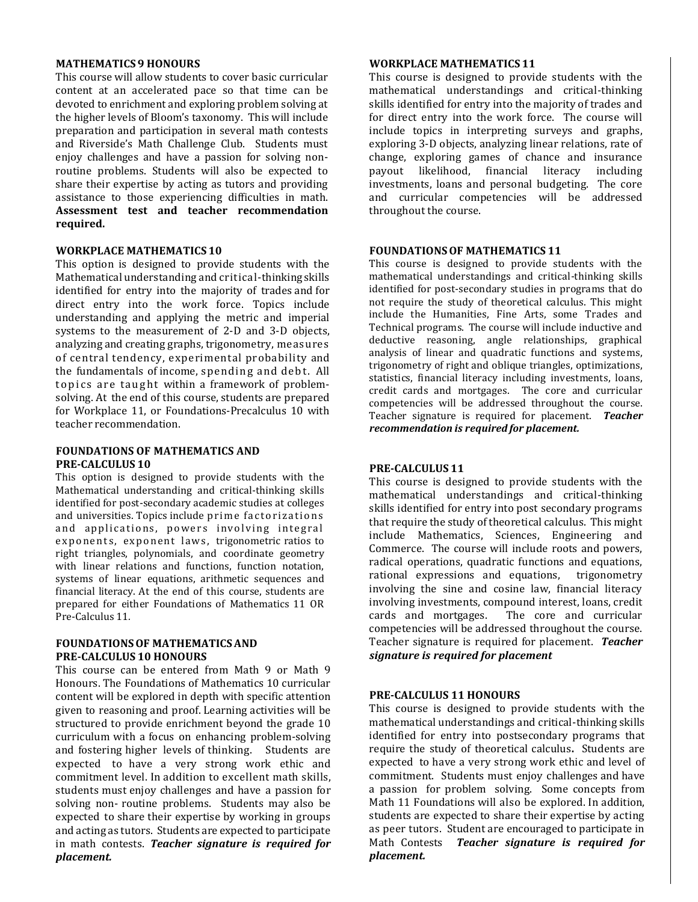#### **MATHEMATICS 9 HONOURS**

This course will allow students to cover basic curricular content at an accelerated pace so that time can be devoted to enrichment and exploring problem solving at the higher levels of Bloom's taxonomy. This will include preparation and participation in several math contests and Riverside's Math Challenge Club. Students must enjoy challenges and have a passion for solving nonroutine problems. Students will also be expected to share their expertise by acting as tutors and providing assistance to those experiencing difficulties in math. **Assessment test and teacher recommendation required.**

#### **WORKPLACE MATHEMATICS 10**

This option is designed to provide students with the Mathematical understanding and critical-thinking skills identified for entry into the majority of trades and for direct entry into the work force. Topics include understanding and applying the metric and imperial systems to the measurement of 2-D and 3-D objects, analyzing and creating graphs, trigonometry, measures of central tendency, experimental probability and the fundamentals of income, spending and de bt. All topics are taught within a framework of problemsolving. At the end of this course, students are prepared for Workplace 11, or Foundations-Precalculus 10 with teacher recommendation.

#### **FOUNDATIONS OF MATHEMATICS AND PRE-CALCULUS 10**

This option is designed to provide students with the Mathematical understanding and critical-thinking skills identified for post-secondary academic studies at colleges and universities. Topics include prime factorizations and applications, powers involving integral exponents, exponent laws, trigonometric ratios to right triangles, polynomials, and coordinate geometry with linear relations and functions, function notation, systems of linear equations, arithmetic sequences and financial literacy. At the end of this course, students are prepared for either Foundations of Mathematics 11 OR Pre-Calculus 11*.*

#### **FOUNDATIONSOF MATHEMATICSAND PRE-CALCULUS 10 HONOURS**

This course can be entered from Math 9 or Math 9 Honours. The Foundations of Mathematics 10 curricular content will be explored in depth with specific attention given to reasoning and proof. Learning activities will be structured to provide enrichment beyond the grade 10 curriculum with a focus on enhancing problem-solving and fostering higher levels of thinking. Students are expected to have a very strong work ethic and commitment level. In addition to excellent math skills, students must enjoy challenges and have a passion for solving non- routine problems. Students may also be expected to share their expertise by working in groups and acting as tutors. Students are expected to participate in math contests. *Teacher signature is required for placement.*

#### **WORKPLACE MATHEMATICS 11**

This course is designed to provide students with the mathematical understandings and critical-thinking skills identified for entry into the majority of trades and for direct entry into the work force. The course will include topics in interpreting surveys and graphs, exploring 3-D objects, analyzing linear relations, rate of change, exploring games of chance and insurance payout likelihood, financial literacy including investments, loans and personal budgeting. The core and curricular competencies will be addressed throughout the course.

#### **FOUNDATIONSOF MATHEMATICS 11**

This course is designed to provide students with the mathematical understandings and critical-thinking skills identified for post-secondary studies in programs that do not require the study of theoretical calculus. This might include the Humanities, Fine Arts, some Trades and Technical programs. The course will include inductive and deductive reasoning, angle relationships, graphical analysis of linear and quadratic functions and systems, trigonometry of right and oblique triangles, optimizations, statistics, financial literacy including investments, loans, credit cards and mortgages. The core and curricular competencies will be addressed throughout the course. Teacher signature is required for placement. *Teacher recommendation is required for placement.*

#### **PRE-CALCULUS 11**

This course is designed to provide students with the mathematical understandings and critical-thinking skills identified for entry into post secondary programs that require the study of theoretical calculus. This might include Mathematics, Sciences, Engineering and Commerce. The course will include roots and powers, radical operations, quadratic functions and equations, rational expressions and equations, trigonometry involving the sine and cosine law, financial literacy involving investments, compound interest, loans, credit cards and mortgages. The core and curricular competencies will be addressed throughout the course. Teacher signature is required for placement. *Teacher signature is required for placement*

#### **PRE-CALCULUS 11 HONOURS**

This course is designed to provide students with the mathematical understandings and critical-thinking skills identified for entry into postsecondary programs that require the study of theoretical calculus**.** Students are expected to have a very strong work ethic and level of commitment. Students must enjoy challenges and have a passion for problem solving. Some concepts from Math 11 Foundations will also be explored. In addition, students are expected to share their expertise by acting as peer tutors. Student are encouraged to participate in Math Contests *Teacher signature is required for placement.*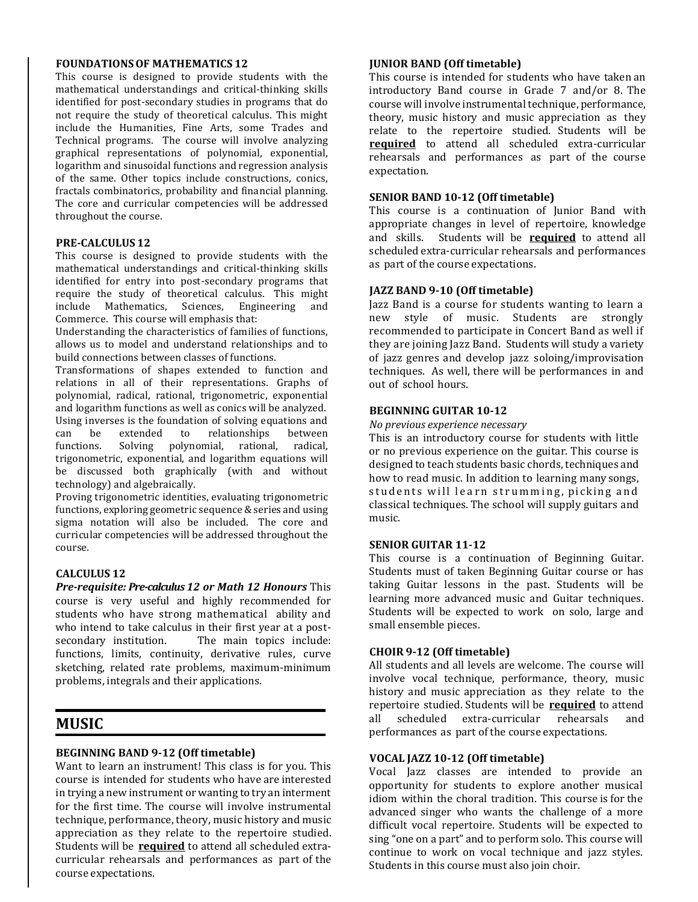#### **FOUNDATIONSOF MATHEMATICS 12**

This course is designed to provide students with the mathematical understandings and critical-thinking skills identified for post-secondary studies in programs that do not require the study of theoretical calculus. This might include the Humanities, Fine Arts, some Trades and Technical programs. The course will involve analyzing graphical representations of polynomial, exponential, logarithm and sinusoidal functions and regression analysis of the same. Other topics include constructions, conics, fractals combinatorics, probability and financial planning. The core and curricular competencies will be addressed throughout the course.

#### **PRE-CALCULUS 12**

This course is designed to provide students with the mathematical understandings and critical-thinking skills identified for entry into post-secondary programs that require the study of theoretical calculus. This might include Mathematics, Sciences, Engineering and Commerce. This course will emphasis that:

Understanding the characteristics of families of functions, allows us to model and understand relationships and to build connections between classes of functions.

Transformations of shapes extended to function and relations in all of their representations. Graphs of polynomial, radical, rational, trigonometric, exponential and logarithm functions as well as conics will be analyzed. Using inverses is the foundation of solving equations and can be extended to relationships between functions. Solving polynomial, rational, radical, trigonometric, exponential, and logarithm equations will be discussed both graphically (with and without technology) and algebraically.

Proving trigonometric identities, evaluating trigonometric functions, exploring geometric sequence & series and using sigma notation will also be included. The core and curricular competencies will be addressed throughout the course.

#### **CALCULUS 12**

*Pre-requisite: Pre-calculus 12 or Math 12 Honours* This course is very useful and highly recommended for students who have strong mathematical ability and who intend to take calculus in their first year at a postsecondary institution. The main topics include: functions, limits, continuity, derivative rules, curve sketching, related rate problems, maximum-minimum problems, integrals and their applications.

### **MUSIC**

#### **BEGINNING BAND 9-12 (Off timetable)**

Want to learn an instrument! This class is for you. This course is intended for students who have are interested in trying a new instrument or wanting to try an interment for the first time. The course will involve instrumental technique, performance, theory, music history and music appreciation as they relate to the repertoire studied. Students will be **required** to attend all scheduled extracurricular rehearsals and performances as part of the course expectations.

#### **JUNIOR BAND (Off timetable)**

This course is intended for students who have taken an introductory Band course in Grade 7 and/or 8. The course will involve instrumental technique, performance, theory, music history and music appreciation as they relate to the repertoire studied. Students will be **required** to attend all scheduled extra-curricular rehearsals and performances as part of the course expectation.

#### **SENIOR BAND 10-12 (Off timetable)**

This course is a continuation of Junior Band with appropriate changes in level of repertoire, knowledge and skills. Students will be **required** to attend all scheduled extra-curricular rehearsals and performances as part of the course expectations.

#### **JAZZ BAND 9-10 (Off timetable)**

Jazz Band is a course for students wanting to learn a new style of music. Students are strongly recommended to participate in Concert Band as well if they are joining Jazz Band. Students will study a variety of jazz genres and develop jazz soloing/improvisation techniques. As well, there will be performances in and out of school hours.

#### **BEGINNING GUITAR 10-12**

*No previous experience necessary*

This is an introductory course for students with little or no previous experience on the guitar. This course is designed to teach students basic chords, techniques and how to read music. In addition to learning many songs, students will learn strumming, picking and classical techniques. The school will supply guitars and music.

#### **SENIOR GUITAR 11-12**

This course is a continuation of Beginning Guitar. Students must of taken Beginning Guitar course or has taking Guitar lessons in the past. Students will be learning more advanced music and Guitar techniques. Students will be expected to work on solo, large and small ensemble pieces.

#### **CHOIR 9-12 (Off timetable)**

All students and all levels are welcome. The course will involve vocal technique, performance, theory, music history and music appreciation as they relate to the repertoire studied. Students will be **required** to attend all scheduled extra-curricular rehearsals and performances as part of the course expectations.

#### **VOCAL JAZZ 10-12 (Off timetable)**

Vocal Jazz classes are intended to provide an opportunity for students to explore another musical idiom within the choral tradition. This course is for the advanced singer who wants the challenge of a more difficult vocal repertoire. Students will be expected to sing "one on a part" and to perform solo. This course will continue to work on vocal technique and jazz styles. Students in this course must also join choir.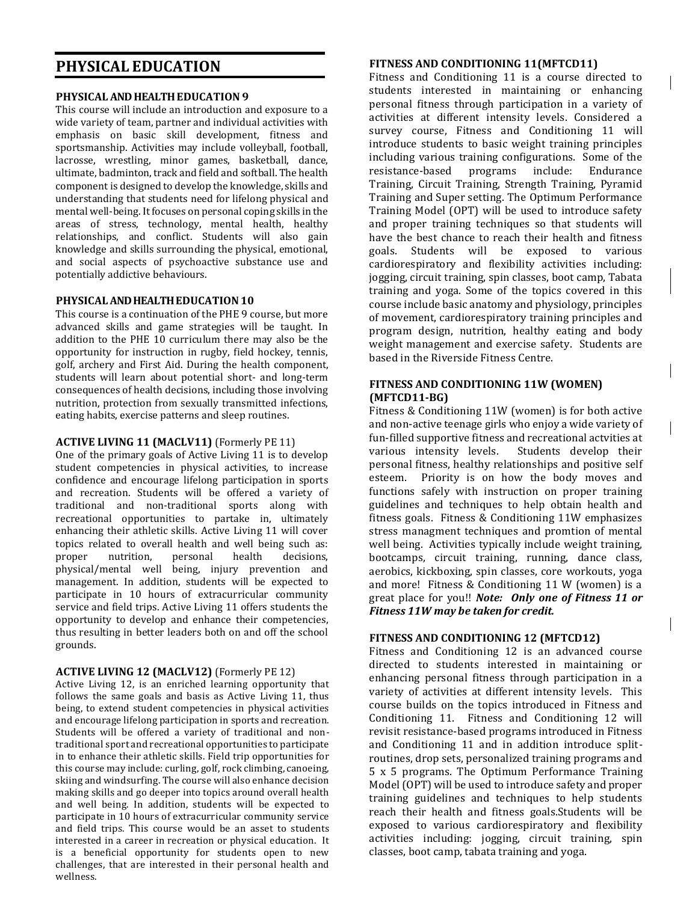## **PHYSICAL EDUCATION**

#### **PHYSICAL AND HEALTH EDUCATION 9**

This course will include an introduction and exposure to a wide variety of team, partner and individual activities with emphasis on basic skill development, fitness and sportsmanship. Activities may include volleyball, football, lacrosse, wrestling, minor games, basketball, dance, ultimate, badminton, track and field and softball. The health component is designed to develop the knowledge, skills and understanding that students need for lifelong physical and mental well-being. It focuses on personal coping skills in the areas of stress, technology, mental health, healthy relationships, and conflict. Students will also gain knowledge and skills surrounding the physical, emotional, and social aspects of psychoactive substance use and potentially addictive behaviours.

#### **PHYSICALAND HEALTH EDUCATION10**

This course is a continuation of the PHE 9 course, but more advanced skills and game strategies will be taught. In addition to the PHE 10 curriculum there may also be the opportunity for instruction in rugby, field hockey, tennis, golf, archery and First Aid. During the health component, students will learn about potential short- and long-term consequences of health decisions, including those involving nutrition, protection from sexually transmitted infections, eating habits, exercise patterns and sleep routines.

#### **ACTIVE LIVING 11 (MACLV11)** (Formerly PE 11)

One of the primary goals of Active Living 11 is to develop student competencies in physical activities, to increase confidence and encourage lifelong participation in sports and recreation. Students will be offered a variety of traditional and non-traditional sports along with recreational opportunities to partake in, ultimately enhancing their athletic skills. Active Living 11 will cover topics related to overall health and well being such as: proper nutrition, personal health decisions, physical/mental well being, injury prevention and management. In addition, students will be expected to participate in 10 hours of extracurricular community service and field trips. Active Living 11 offers students the opportunity to develop and enhance their competencies, thus resulting in better leaders both on and off the school grounds.

#### **ACTIVE LIVING 12 (MACLV12)** (Formerly PE 12)

Active Living 12, is an enriched learning opportunity that follows the same goals and basis as Active Living 11, thus being, to extend student competencies in physical activities and encourage lifelong participation in sports and recreation. Students will be offered a variety of traditional and nontraditional sport and recreational opportunities to participate in to enhance their athletic skills. Field trip opportunities for this course may include: curling, golf, rock climbing, canoeing, skiing and windsurfing. The course will also enhance decision making skills and go deeper into topics around overall health and well being. In addition, students will be expected to participate in 10 hours of extracurricular community service and field trips. This course would be an asset to students interested in a career in recreation or physical education. It is a beneficial opportunity for students open to new challenges, that are interested in their personal health and wellness.

#### **FITNESS AND CONDITIONING 11(MFTCD11)**

Fitness and Conditioning 11 is a course directed to students interested in maintaining or enhancing personal fitness through participation in a variety of activities at different intensity levels. Considered a survey course, Fitness and Conditioning 11 will introduce students to basic weight training principles including various training configurations. Some of the resistance-based programs include: Endurance Training, Circuit Training, Strength Training, Pyramid Training and Super setting. The Optimum Performance Training Model (OPT) will be used to introduce safety and proper training techniques so that students will have the best chance to reach their health and fitness goals. Students will be exposed to various cardiorespiratory and flexibility activities including: jogging, circuit training, spin classes, boot camp, Tabata training and yoga. Some of the topics covered in this course include basic anatomy and physiology, principles of movement, cardiorespiratory training principles and program design, nutrition, healthy eating and body weight management and exercise safety. Students are based in the Riverside Fitness Centre.

#### **FITNESS AND CONDITIONING 11W (WOMEN) (MFTCD11-BG)**

Fitness & Conditioning 11W (women) is for both active and non-active teenage girls who enjoy a wide variety of fun-filled supportive fitness and recreational actvities at various intensity levels. Students develop their personal fitness, healthy relationships and positive self esteem. Priority is on how the body moves and functions safely with instruction on proper training guidelines and techniques to help obtain health and fitness goals. Fitness & Conditioning 11W emphasizes stress managment techniques and promtion of mental well being. Activities typically include weight training, bootcamps, circuit training, running, dance class, aerobics, kickboxing, spin classes, core workouts, yoga and more! Fitness & Conditioning 11 W (women) is a great place for you!! *Note: Only one of Fitness 11 or Fitness 11W may be taken for credit.*

#### **FITNESS AND CONDITIONING 12 (MFTCD12)**

Fitness and Conditioning 12 is an advanced course directed to students interested in maintaining or enhancing personal fitness through participation in a variety of activities at different intensity levels. This course builds on the topics introduced in Fitness and Conditioning 11. Fitness and Conditioning 12 will revisit resistance-based programs introduced in Fitness and Conditioning 11 and in addition introduce splitroutines, drop sets, personalized training programs and 5 x 5 programs. The Optimum Performance Training Model (OPT) will be used to introduce safety and proper training guidelines and techniques to help students reach their health and fitness goals.Students will be exposed to various cardiorespiratory and flexibility activities including: jogging, circuit training, spin classes, boot camp, tabata training and yoga.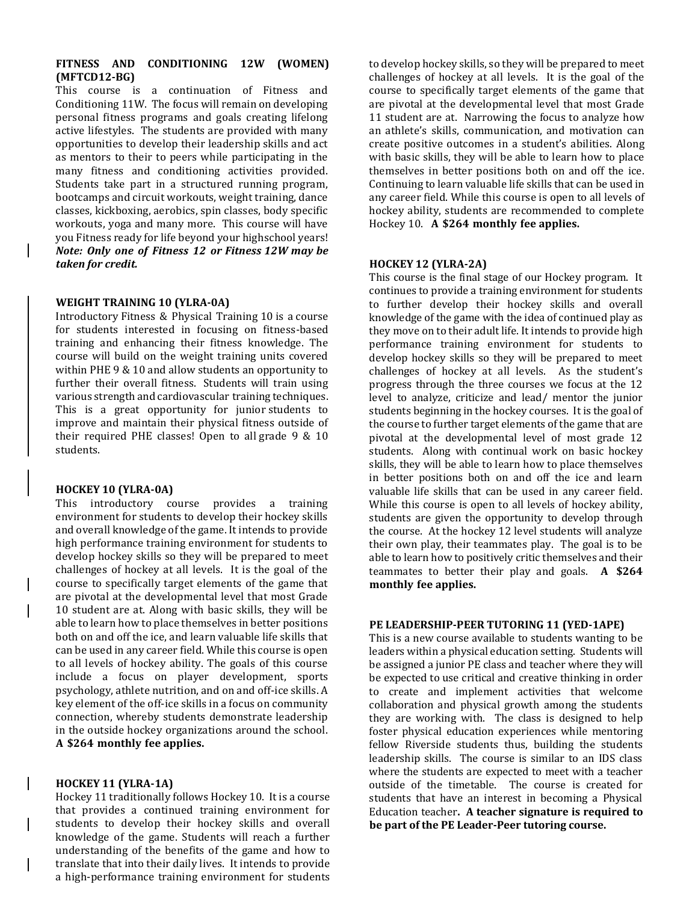#### **FITNESS AND CONDITIONING 12W (WOMEN) (MFTCD12-BG)**

This course is a continuation of Fitness and Conditioning 11W. The focus will remain on developing personal fitness programs and goals creating lifelong active lifestyles. The students are provided with many opportunities to develop their leadership skills and act as mentors to their to peers while participating in the many fitness and conditioning activities provided. Students take part in a structured running program, bootcamps and circuit workouts, weight training, dance classes, kickboxing, aerobics, spin classes, body specific workouts, yoga and many more. This course will have you Fitness ready for life beyond your highschool years! *Note: Only one of Fitness 12 or Fitness 12W may be taken for credit.*

#### **WEIGHT TRAINING 10 (YLRA-0A)**

Introductory Fitness & Physical Training 10 is a course for students interested in focusing on fitness-based training and enhancing their fitness knowledge. The course will build on the weight training units covered within PHE 9 & 10 and allow students an opportunity to further their overall fitness. Students will train using various strength and cardiovascular training techniques. This is a great opportunity for junior students to improve and maintain their physical fitness outside of their required PHE classes! Open to all grade 9 & 10 students.

#### **HOCKEY 10 (YLRA-0A)**

This introductory course provides a training environment for students to develop their hockey skills and overall knowledge of the game. It intends to provide high performance training environment for students to develop hockey skills so they will be prepared to meet challenges of hockey at all levels. It is the goal of the course to specifically target elements of the game that are pivotal at the developmental level that most Grade 10 student are at. Along with basic skills, they will be able to learn how to place themselves in better positions both on and off the ice, and learn valuable life skills that can be used in any career field. While this course is open to all levels of hockey ability. The goals of this course include a focus on player development, sports psychology, athlete nutrition, and on and off-ice skills. A key element of the off-ice skills in a focus on community connection, whereby students demonstrate leadership in the outside hockey organizations around the school. **A \$264 monthly fee applies.**

#### **HOCKEY 11 (YLRA-1A)**

Hockey 11 traditionally follows Hockey 10. It is a course that provides a continued training environment for students to develop their hockey skills and overall knowledge of the game. Students will reach a further understanding of the benefits of the game and how to translate that into their daily lives. It intends to provide a high-performance training environment for students to develop hockey skills, so they will be prepared to meet challenges of hockey at all levels. It is the goal of the course to specifically target elements of the game that are pivotal at the developmental level that most Grade 11 student are at. Narrowing the focus to analyze how an athlete's skills, communication, and motivation can create positive outcomes in a student's abilities. Along with basic skills, they will be able to learn how to place themselves in better positions both on and off the ice. Continuing to learn valuable life skills that can be used in any career field. While this course is open to all levels of hockey ability, students are recommended to complete Hockey 10. **A \$264 monthly fee applies.**

#### **HOCKEY 12 (YLRA-2A)**

This course is the final stage of our Hockey program. It continues to provide a training environment for students to further develop their hockey skills and overall knowledge of the game with the idea of continued play as they move on to their adult life. It intends to provide high performance training environment for students to develop hockey skills so they will be prepared to meet challenges of hockey at all levels. As the student's progress through the three courses we focus at the 12 level to analyze, criticize and lead/ mentor the junior students beginning in the hockey courses. It is the goal of the course to further target elements of the game that are pivotal at the developmental level of most grade 12 students. Along with continual work on basic hockey skills, they will be able to learn how to place themselves in better positions both on and off the ice and learn valuable life skills that can be used in any career field. While this course is open to all levels of hockey ability, students are given the opportunity to develop through the course. At the hockey 12 level students will analyze their own play, their teammates play. The goal is to be able to learn how to positively critic themselves and their teammates to better their play and goals. **A \$264 monthly fee applies.**

#### **PE LEADERSHIP-PEER TUTORING 11 (YED-1APE)**

This is a new course available to students wanting to be leaders within a physical education setting. Students will be assigned a junior PE class and teacher where they will be expected to use critical and creative thinking in order to create and implement activities that welcome collaboration and physical growth among the students they are working with. The class is designed to help foster physical education experiences while mentoring fellow Riverside students thus, building the students leadership skills. The course is similar to an IDS class where the students are expected to meet with a teacher outside of the timetable. The course is created for students that have an interest in becoming a Physical Education teacher**. A teacher signature is required to be part of the PE Leader-Peer tutoring course.**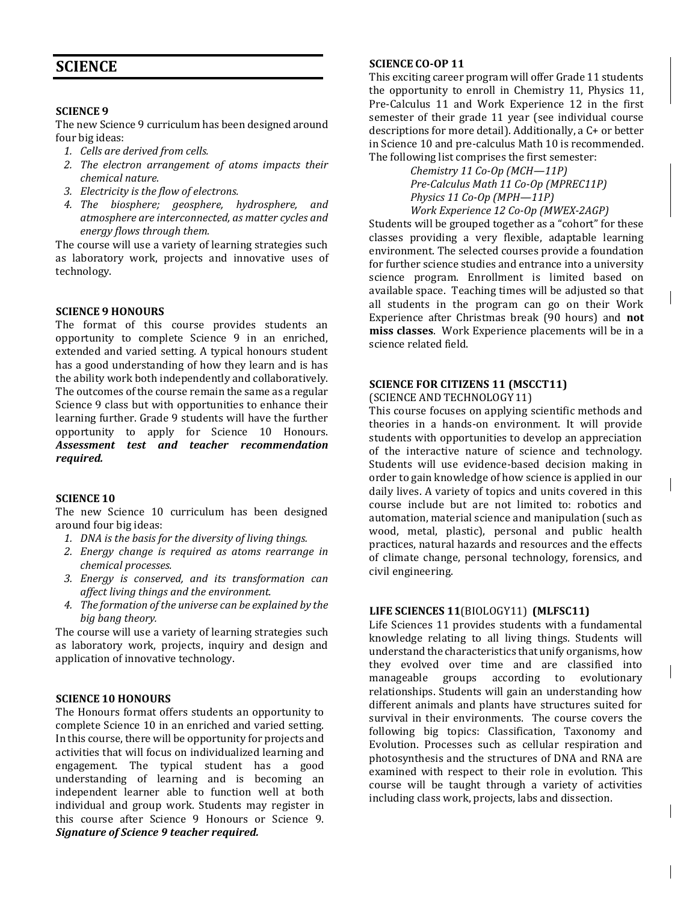## **SCIENCE**

#### **SCIENCE 9**

The new Science 9 curriculum has been designed around four big ideas:

- *1. Cells are derived from cells.*
- *2. The electron arrangement of atoms impacts their chemical nature.*
- *3. Electricity is the flow of electrons.*
- *4. The biosphere; geosphere, hydrosphere, and atmosphere are interconnected, as matter cycles and energy flows through them.*

The course will use a variety of learning strategies such as laboratory work, projects and innovative uses of technology.

#### **SCIENCE 9 HONOURS**

The format of this course provides students an opportunity to complete Science 9 in an enriched, extended and varied setting. A typical honours student has a good understanding of how they learn and is has the ability work both independently and collaboratively. The outcomes of the course remain the same as a regular Science 9 class but with opportunities to enhance their learning further. Grade 9 students will have the further opportunity to apply for Science 10 Honours. *Assessment test and teacher recommendation required.*

#### **SCIENCE 10**

The new Science 10 curriculum has been designed around four big ideas:

- *1. DNA is the basis for the diversity of living things.*
- *2. Energy change is required as atoms rearrange in chemical processes.*
- *3. Energy is conserved, and its transformation can affect living things and the environment.*
- *4. The formation of the universe can be explained by the big bang theory.*

The course will use a variety of learning strategies such as laboratory work, projects, inquiry and design and application of innovative technology.

#### **SCIENCE 10 HONOURS**

The Honours format offers students an opportunity to complete Science 10 in an enriched and varied setting. In this course, there will be opportunity for projects and activities that will focus on individualized learning and engagement. The typical student has a good understanding of learning and is becoming an independent learner able to function well at both individual and group work. Students may register in this course after Science 9 Honours or Science 9. *Signature of Science 9 teacher required.*

#### **SCIENCE CO-OP 11**

This exciting career program will offer Grade 11 students the opportunity to enroll in Chemistry 11, Physics 11, Pre-Calculus 11 and Work Experience 12 in the first semester of their grade 11 year (see individual course descriptions for more detail). Additionally, a C+ or better in Science 10 and pre-calculus Math 10 is recommended. The following list comprises the first semester:

*Chemistry 11 Co-Op (MCH—11P) Pre-Calculus Math 11 Co-Op (MPREC11P) Physics 11 Co-Op (MPH—11P) Work Experience 12 Co-Op (MWEX-2AGP)*

Students will be grouped together as a "cohort" for these classes providing a very flexible, adaptable learning environment. The selected courses provide a foundation for further science studies and entrance into a university science program. Enrollment is limited based on available space. Teaching times will be adjusted so that all students in the program can go on their Work Experience after Christmas break (90 hours) and **not miss classes**. Work Experience placements will be in a science related field.

#### **SCIENCE FOR CITIZENS 11 (MSCCT11)** (SCIENCE AND TECHNOLOGY11)

This course focuses on applying scientific methods and theories in a hands-on environment. It will provide students with opportunities to develop an appreciation of the interactive nature of science and technology. Students will use evidence-based decision making in order to gain knowledge of how science is applied in our daily lives. A variety of topics and units covered in this course include but are not limited to: robotics and automation, material science and manipulation (such as wood, metal, plastic), personal and public health practices, natural hazards and resources and the effects of climate change, personal technology, forensics, and civil engineering.

#### **LIFE SCIENCES 11**(BIOLOGY11) **(MLFSC11)**

Life Sciences 11 provides students with a fundamental knowledge relating to all living things. Students will understand the characteristics that unify organisms, how they evolved over time and are classified into manageable groups according to evolutionary relationships. Students will gain an understanding how different animals and plants have structures suited for survival in their environments. The course covers the following big topics: Classification, Taxonomy and Evolution. Processes such as cellular respiration and photosynthesis and the structures of DNA and RNA are examined with respect to their role in evolution. This course will be taught through a variety of activities including class work, projects, labs and dissection.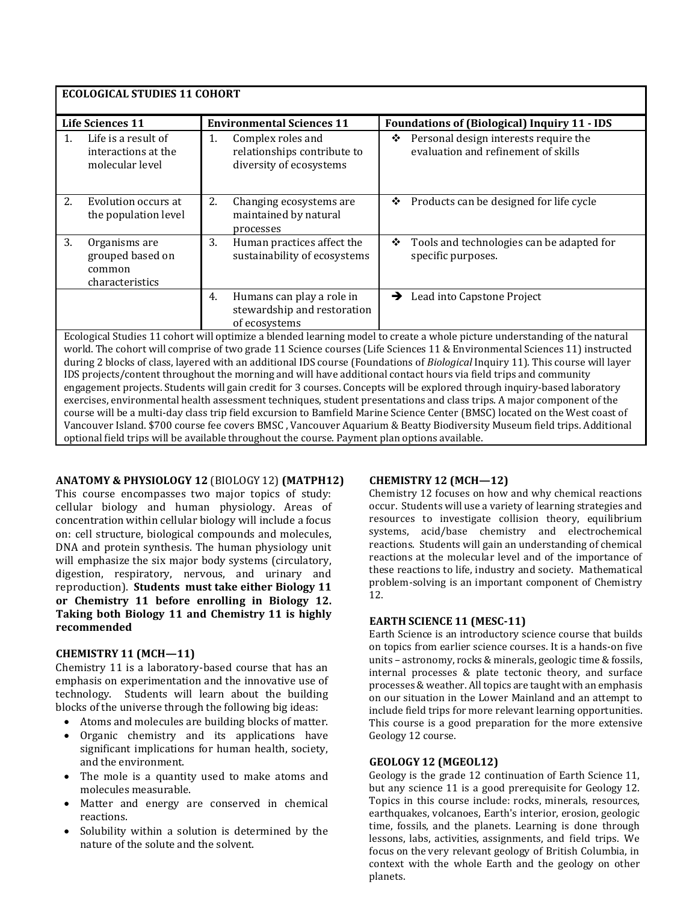| <b>ECOLOGICAL STUDIES 11 COHORT</b>                                                                                                                                                                                                                                                                                                                                                                                                                                                                                                                                                                                                                                                                                                                                                                                                                                                                                                                                                                                           |                                                                |                                                                                                                                                                        |  |  |  |  |  |
|-------------------------------------------------------------------------------------------------------------------------------------------------------------------------------------------------------------------------------------------------------------------------------------------------------------------------------------------------------------------------------------------------------------------------------------------------------------------------------------------------------------------------------------------------------------------------------------------------------------------------------------------------------------------------------------------------------------------------------------------------------------------------------------------------------------------------------------------------------------------------------------------------------------------------------------------------------------------------------------------------------------------------------|----------------------------------------------------------------|------------------------------------------------------------------------------------------------------------------------------------------------------------------------|--|--|--|--|--|
|                                                                                                                                                                                                                                                                                                                                                                                                                                                                                                                                                                                                                                                                                                                                                                                                                                                                                                                                                                                                                               | <b>Life Sciences 11</b>                                        | <b>Environmental Sciences 11</b><br><b>Foundations of (Biological) Inquiry 11 - IDS</b>                                                                                |  |  |  |  |  |
| 1.                                                                                                                                                                                                                                                                                                                                                                                                                                                                                                                                                                                                                                                                                                                                                                                                                                                                                                                                                                                                                            | Life is a result of<br>interactions at the<br>molecular level  | Complex roles and<br>Personal design interests require the<br>1.<br>❖<br>evaluation and refinement of skills<br>relationships contribute to<br>diversity of ecosystems |  |  |  |  |  |
| 2.                                                                                                                                                                                                                                                                                                                                                                                                                                                                                                                                                                                                                                                                                                                                                                                                                                                                                                                                                                                                                            | Evolution occurs at<br>the population level                    | 2.<br>Products can be designed for life cycle<br>Changing ecosystems are<br>❖<br>maintained by natural<br>processes                                                    |  |  |  |  |  |
| 3.                                                                                                                                                                                                                                                                                                                                                                                                                                                                                                                                                                                                                                                                                                                                                                                                                                                                                                                                                                                                                            | Organisms are<br>grouped based on<br>common<br>characteristics | 3.<br>Tools and technologies can be adapted for<br>Human practices affect the<br>❖<br>sustainability of ecosystems<br>specific purposes.                               |  |  |  |  |  |
|                                                                                                                                                                                                                                                                                                                                                                                                                                                                                                                                                                                                                                                                                                                                                                                                                                                                                                                                                                                                                               |                                                                | Humans can play a role in<br>Lead into Capstone Project<br>4.<br>→<br>stewardship and restoration<br>of ecosystems                                                     |  |  |  |  |  |
| Ecological Studies 11 cohort will optimize a blended learning model to create a whole picture understanding of the natural<br>world. The cohort will comprise of two grade 11 Science courses (Life Sciences 11 & Environmental Sciences 11) instructed<br>during 2 blocks of class, layered with an additional IDS course (Foundations of Biological Inquiry 11). This course will layer<br>IDS projects/content throughout the morning and will have additional contact hours via field trips and community<br>engagement projects. Students will gain credit for 3 courses. Concepts will be explored through inquiry-based laboratory<br>exercises, environmental health assessment techniques, student presentations and class trips. A major component of the<br>course will be a multi-day class trip field excursion to Bamfield Marine Science Center (BMSC) located on the West coast of<br>Vancouver Island. \$700 course fee covers BMSC, Vancouver Aquarium & Beatty Biodiversity Museum field trips. Additional |                                                                |                                                                                                                                                                        |  |  |  |  |  |
|                                                                                                                                                                                                                                                                                                                                                                                                                                                                                                                                                                                                                                                                                                                                                                                                                                                                                                                                                                                                                               |                                                                | optional field trips will be available throughout the course. Payment plan options available.                                                                          |  |  |  |  |  |

**ANATOMY & PHYSIOLOGY 12** (BIOLOGY 12) **(MATPH12)**

This course encompasses two major topics of study: cellular biology and human physiology. Areas of concentration within cellular biology will include a focus on: cell structure, biological compounds and molecules, DNA and protein synthesis. The human physiology unit will emphasize the six major body systems (circulatory, digestion, respiratory, nervous, and urinary and reproduction). **Students must take either Biology 11 or Chemistry 11 before enrolling in Biology 12. Taking both Biology 11 and Chemistry 11 is highly recommended**

#### **CHEMISTRY 11 (MCH—11)**

Chemistry 11 is a laboratory-based course that has an emphasis on experimentation and the innovative use of technology. Students will learn about the building blocks of the universe through the following big ideas:

- Atoms and molecules are building blocks of matter.
- Organic chemistry and its applications have significant implications for human health, society, and the environment.
- The mole is a quantity used to make atoms and molecules measurable.
- Matter and energy are conserved in chemical reactions.
- Solubility within a solution is determined by the nature of the solute and the solvent.

#### **CHEMISTRY 12 (MCH—12)**

Chemistry 12 focuses on how and why chemical reactions occur. Students will use a variety of learning strategies and resources to investigate collision theory, equilibrium systems, acid/base chemistry and electrochemical reactions. Students will gain an understanding of chemical reactions at the molecular level and of the importance of these reactions to life, industry and society. Mathematical problem-solving is an important component of Chemistry 12.

#### **EARTH SCIENCE 11 (MESC-11)**

Earth Science is an introductory science course that builds on topics from earlier science courses. It is a hands-on five units – astronomy, rocks & minerals, geologic time & fossils, internal processes & plate tectonic theory, and surface processes & weather. All topics are taught with an emphasis on our situation in the Lower Mainland and an attempt to include field trips for more relevant learning opportunities. This course is a good preparation for the more extensive Geology 12 course.

#### **GEOLOGY 12 (MGEOL12)**

Geology is the grade 12 continuation of Earth Science 11, but any science 11 is a good prerequisite for Geology 12. Topics in this course include: rocks, minerals, resources, earthquakes, volcanoes, Earth's interior, erosion, geologic time, fossils, and the planets. Learning is done through lessons, labs, activities, assignments, and field trips. We focus on the very relevant geology of British Columbia, in context with the whole Earth and the geology on other planets.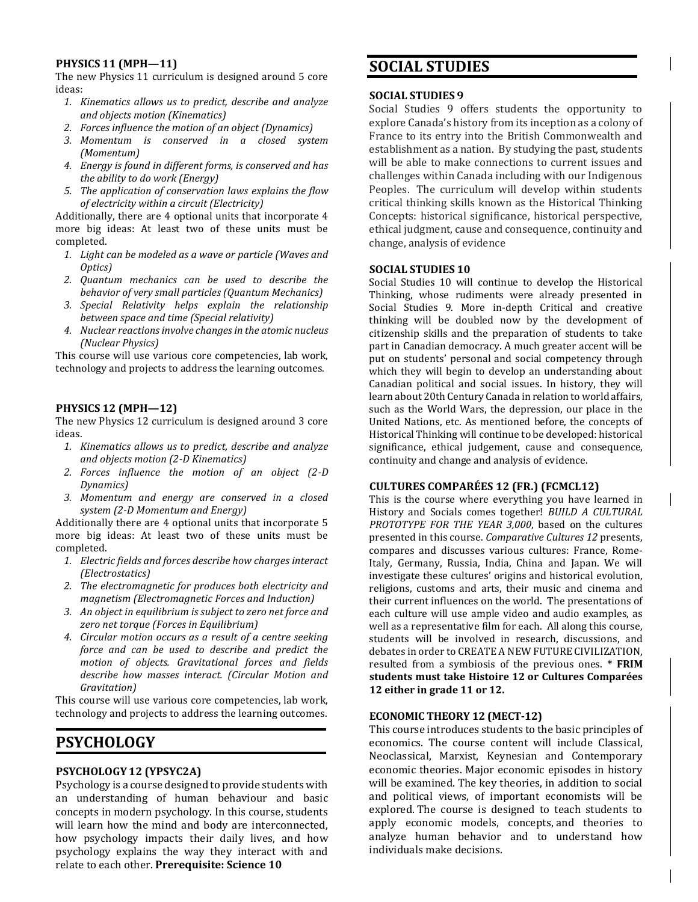#### **PHYSICS 11 (MPH—11)**

The new Physics 11 curriculum is designed around 5 core ideas:

- *1. Kinematics allows us to predict, describe and analyze and objects motion (Kinematics)*
- *2. Forces influence the motion of an object (Dynamics)*
- *3. Momentum is conserved in a closed system (Momentum)*
- *4. Energy is found in different forms, is conserved and has the ability to do work (Energy)*
- *5. The application of conservation laws explains the flow of electricity within a circuit (Electricity)*

Additionally, there are 4 optional units that incorporate 4 more big ideas: At least two of these units must be completed.

- *1. Light can be modeled as a wave or particle (Waves and Optics)*
- *2. Quantum mechanics can be used to describe the behavior of very small particles (Quantum Mechanics)*
- *3. Special Relativity helps explain the relationship between space and time (Special relativity)*
- *4. Nuclear reactions involve changes in the atomic nucleus (Nuclear Physics)*

This course will use various core competencies, lab work, technology and projects to address the learning outcomes.

#### **PHYSICS 12 (MPH—12)**

The new Physics 12 curriculum is designed around 3 core ideas.

- *1. Kinematics allows us to predict, describe and analyze and objects motion (2-D Kinematics)*
- *2. Forces influence the motion of an object (2-D Dynamics)*
- *3. Momentum and energy are conserved in a closed system (2-D Momentum and Energy)*

Additionally there are 4 optional units that incorporate 5 more big ideas: At least two of these units must be completed.

- *1. Electric fields and forces describe how charges interact (Electrostatics)*
- *2. The electromagnetic for produces both electricity and magnetism (Electromagnetic Forces and Induction)*
- *3. An object in equilibrium is subject to zero net force and zero net torque (Forces in Equilibrium)*
- *4. Circular motion occurs as a result of a centre seeking force and can be used to describe and predict the motion of objects. Gravitational forces and fields describe how masses interact. (Circular Motion and Gravitation)*

This course will use various core competencies, lab work, technology and projects to address the learning outcomes.

## **PSYCHOLOGY**

#### **PSYCHOLOGY 12 (YPSYC2A)**

Psychology is a course designed to provide students with an understanding of human behaviour and basic concepts in modern psychology. In this course, students will learn how the mind and body are interconnected, how psychology impacts their daily lives, and how psychology explains the way they interact with and relate to each other. **Prerequisite: Science 10**

## **SOCIAL STUDIES**

#### **SOCIAL STUDIES 9**

Social Studies 9 offers students the opportunity to explore Canada's history from its inception as a colony of France to its entry into the British Commonwealth and establishment as a nation. By studying the past, students will be able to make connections to current issues and challenges within Canada including with our Indigenous Peoples. The curriculum will develop within students critical thinking skills known as the Historical Thinking Concepts: historical significance, historical perspective, ethical judgment, cause and consequence, continuity and change, analysis of evidence

#### **SOCIAL STUDIES 10**

Social Studies 10 will continue to develop the Historical Thinking, whose rudiments were already presented in Social Studies 9. More in-depth Critical and creative thinking will be doubled now by the development of citizenship skills and the preparation of students to take part in Canadian democracy. A much greater accent will be put on students' personal and social competency through which they will begin to develop an understanding about Canadian political and social issues. In history, they will learn about 20th Century Canada in relation to world affairs, such as the World Wars, the depression, our place in the United Nations, etc. As mentioned before, the concepts of Historical Thinking will continue to be developed: historical significance, ethical judgement, cause and consequence, continuity and change and analysis of evidence.

#### **CULTURES COMPARÉES 12 (FR.) (FCMCL12)**

This is the course where everything you have learned in History and Socials comes together! *BUILD A CULTURAL PROTOTYPE FOR THE YEAR 3,000*, based on the cultures presented in this course. *Comparative Cultures 12* presents, compares and discusses various cultures: France, Rome-Italy, Germany, Russia, India, China and Japan. We will investigate these cultures' origins and historical evolution, religions, customs and arts, their music and cinema and their current influences on the world. The presentations of each culture will use ample video and audio examples, as well as a representative film for each. All along this course, students will be involved in research, discussions, and debates in order to CREATE A NEW FUTURE CIVILIZATION, resulted from a symbiosis of the previous ones. **\* FRIM students must take Histoire 12 or Cultures Comparées 12 either in grade 11 or 12.**

#### **ECONOMIC THEORY 12 (MECT-12)**

This course introduces students to the basic principles of economics. The course content will include Classical, Neoclassical, Marxist, Keynesian and Contemporary economic theories. Major economic episodes in history will be examined. The key theories, in addition to social and political views, of important economists will be explored. The course is designed to teach students to apply economic models, concepts, and theories to analyze human behavior and to understand how individuals make decisions.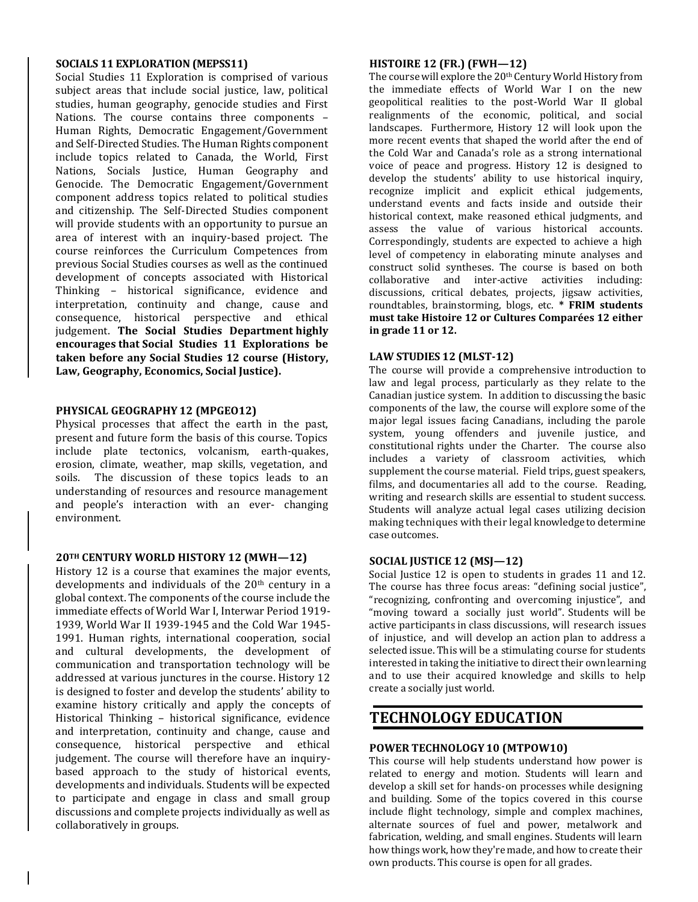#### **SOCIALS 11 EXPLORATION (MEPSS11)**

Social Studies 11 Exploration is comprised of various subject areas that include social justice, law, political studies, human geography, genocide studies and First Nations. The course contains three components – Human Rights, Democratic Engagement/Government and Self-Directed Studies. The Human Rights component include topics related to Canada, the World, First Nations, Socials Justice, Human Geography and Genocide. The Democratic Engagement/Government component address topics related to political studies and citizenship. The Self-Directed Studies component will provide students with an opportunity to pursue an area of interest with an inquiry-based project. The course reinforces the Curriculum Competences from previous Social Studies courses as well as the continued development of concepts associated with Historical Thinking – historical significance, evidence and interpretation, continuity and change, cause and consequence, historical perspective and ethical judgement. **The Social Studies Department highly encourages that Social Studies 11 Explorations be taken before any Social Studies 12 course (History, Law, Geography, Economics, Social Justice).**

#### **PHYSICAL GEOGRAPHY 12 (MPGEO12)**

Physical processes that affect the earth in the past, present and future form the basis of this course. Topics include plate tectonics, volcanism, earth-quakes, erosion, climate, weather, map skills, vegetation, and soils. The discussion of these topics leads to an understanding of resources and resource management and people's interaction with an ever- changing environment.

#### **20TH CENTURY WORLD HISTORY 12 (MWH—12)**

History 12 is a course that examines the major events, developments and individuals of the  $20<sup>th</sup>$  century in a global context. The components of the course include the immediate effects of World War I, Interwar Period 1919- 1939, World War II 1939-1945 and the Cold War 1945- 1991. Human rights, international cooperation, social and cultural developments, the development of communication and transportation technology will be addressed at various junctures in the course. History 12 is designed to foster and develop the students' ability to examine history critically and apply the concepts of Historical Thinking – historical significance, evidence and interpretation, continuity and change, cause and consequence, historical perspective and ethical judgement. The course will therefore have an inquirybased approach to the study of historical events, developments and individuals. Students will be expected to participate and engage in class and small group discussions and complete projects individually as well as collaboratively in groups.

#### **HISTOIRE 12 (FR.) (FWH—12)**

The course will explore the 20<sup>th</sup> Century World History from the immediate effects of World War I on the new geopolitical realities to the post-World War II global realignments of the economic, political, and social landscapes. Furthermore, History 12 will look upon the more recent events that shaped the world after the end of the Cold War and Canada's role as a strong international voice of peace and progress. History 12 is designed to develop the students' ability to use historical inquiry, recognize implicit and explicit ethical judgements, understand events and facts inside and outside their historical context, make reasoned ethical judgments, and assess the value of various historical accounts. Correspondingly, students are expected to achieve a high level of competency in elaborating minute analyses and construct solid syntheses. The course is based on both collaborative and inter-active activities including: discussions, critical debates, projects, jigsaw activities, roundtables, brainstorming, blogs, etc. **\* FRIM students must take Histoire 12 or Cultures Comparées 12 either in grade 11 or 12.**

#### **LAW STUDIES 12 (MLST-12)**

The course will provide a comprehensive introduction to law and legal process, particularly as they relate to the Canadian justice system. In addition to discussing the basic components of the law, the course will explore some of the major legal issues facing Canadians, including the parole system, young offenders and juvenile justice, and constitutional rights under the Charter. The course also includes a variety of classroom activities, which supplement the course material. Field trips, guest speakers, films, and documentaries all add to the course. Reading, writing and research skills are essential to student success. Students will analyze actual legal cases utilizing decision making techniques with their legal knowledge to determine case outcomes.

#### **SOCIAL JUSTICE 12 (MSJ—12)**

Social Justice 12 is open to students in grades 11 and 12. The course has three focus areas: "defining social justice", "recognizing, confronting and overcoming injustice", and "moving toward a socially just world". Students will be active participants in class discussions, will research issues of injustice, and will develop an action plan to address a selected issue. This will be a stimulating course for students interested in taking the initiative to direct their own learning and to use their acquired knowledge and skills to help create a socially just world.

## **TECHNOLOGY EDUCATION**

#### **POWER TECHNOLOGY10 (MTPOW10)**

This course will help students understand how power is related to energy and motion. Students will learn and develop a skill set for hands-on processes while designing and building. Some of the topics covered in this course include flight technology, simple and complex machines, alternate sources of fuel and power, metalwork and fabrication, welding, and small engines. Students will learn how things work, how they're made, and how to create their own products. This course is open for all grades.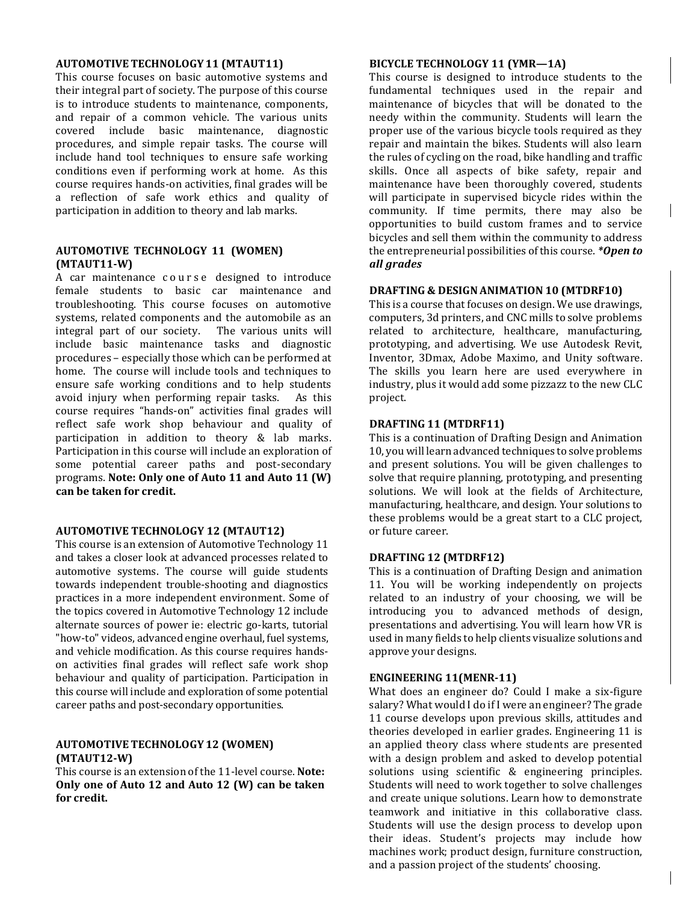#### **AUTOMOTIVETECHNOLOGY11 (MTAUT11)**

This course focuses on basic automotive systems and their integral part of society. The purpose of this course is to introduce students to maintenance, components, and repair of a common vehicle. The various units covered include basic maintenance, diagnostic procedures, and simple repair tasks. The course will include hand tool techniques to ensure safe working conditions even if performing work at home. As this course requires hands-on activities, final grades will be a reflection of safe work ethics and quality of participation in addition to theory and lab marks.

#### **AUTOMOTIVE TECHNOLOGY 11 (WOMEN) (MTAUT11-W)**

A car maintenance course designed to introduce female students to basic car maintenance and troubleshooting. This course focuses on automotive systems, related components and the automobile as an integral part of our society. The various units will include basic maintenance tasks and diagnostic procedures – especially those which can be performed at home. The course will include tools and techniques to ensure safe working conditions and to help students avoid injury when performing repair tasks. As this course requires "hands-on" activities final grades will reflect safe work shop behaviour and quality of participation in addition to theory & lab marks. Participation in this course will include an exploration of some potential career paths and post-secondary programs. **Note: Only one of Auto 11 and Auto 11 (W) can be taken for credit.**

#### **AUTOMOTIVE TECHNOLOGY 12 (MTAUT12)**

This course is an extension of Automotive Technology 11 and takes a closer look at advanced processes related to automotive systems. The course will guide students towards independent trouble-shooting and diagnostics practices in a more independent environment. Some of the topics covered in Automotive Technology 12 include alternate sources of power ie: electric go-karts, tutorial "how-to" videos, advanced engine overhaul, fuel systems, and vehicle modification. As this course requires handson activities final grades will reflect safe work shop behaviour and quality of participation. Participation in this course will include and exploration of some potential career paths and post-secondary opportunities.

#### **AUTOMOTIVETECHNOLOGY 12 (WOMEN) (MTAUT12-W)**

This course is an extension of the 11-level course. **Note: Only one of Auto 12 and Auto 12 (W) can be taken for credit.**

#### **BICYCLE TECHNOLOGY 11 (YMR—1A)**

This course is designed to introduce students to the fundamental techniques used in the repair and maintenance of bicycles that will be donated to the needy within the community. Students will learn the proper use of the various bicycle tools required as they repair and maintain the bikes. Students will also learn the rules of cycling on the road, bike handling and traffic skills. Once all aspects of bike safety, repair and maintenance have been thoroughly covered, students will participate in supervised bicycle rides within the community. If time permits, there may also be opportunities to build custom frames and to service bicycles and sell them within the community to address the entrepreneurial possibilities of this course. *\*Open to all grades*

#### **DRAFTING & DESIGNANIMATION 10 (MTDRF10)**

This is a course that focuses on design. We use drawings, computers, 3d printers, and CNC mills to solve problems related to architecture, healthcare, manufacturing, prototyping, and advertising. We use Autodesk Revit, Inventor, 3Dmax, Adobe Maximo, and Unity software. The skills you learn here are used everywhere in industry, plus it would add some pizzazz to the new CLC project.

#### **DRAFTING 11 (MTDRF11)**

This is a continuation of Drafting Design and Animation 10, you will learn advanced techniques to solve problems and present solutions. You will be given challenges to solve that require planning, prototyping, and presenting solutions. We will look at the fields of Architecture, manufacturing, healthcare, and design. Your solutions to these problems would be a great start to a CLC project, or future career.

#### **DRAFTING 12 (MTDRF12)**

This is a continuation of Drafting Design and animation 11. You will be working independently on projects related to an industry of your choosing, we will be introducing you to advanced methods of design, presentations and advertising. You will learn how VR is used in many fields to help clients visualize solutions and approve your designs.

#### **ENGINEERING 11(MENR-11)**

What does an engineer do? Could I make a six-figure salary? What would I do if I were an engineer? The grade 11 course develops upon previous skills, attitudes and theories developed in earlier grades. Engineering 11 is an applied theory class where students are presented with a design problem and asked to develop potential solutions using scientific & engineering principles. Students will need to work together to solve challenges and create unique solutions. Learn how to demonstrate teamwork and initiative in this collaborative class. Students will use the design process to develop upon their ideas. Student's projects may include how machines work; product design, furniture construction, and a passion project of the students' choosing.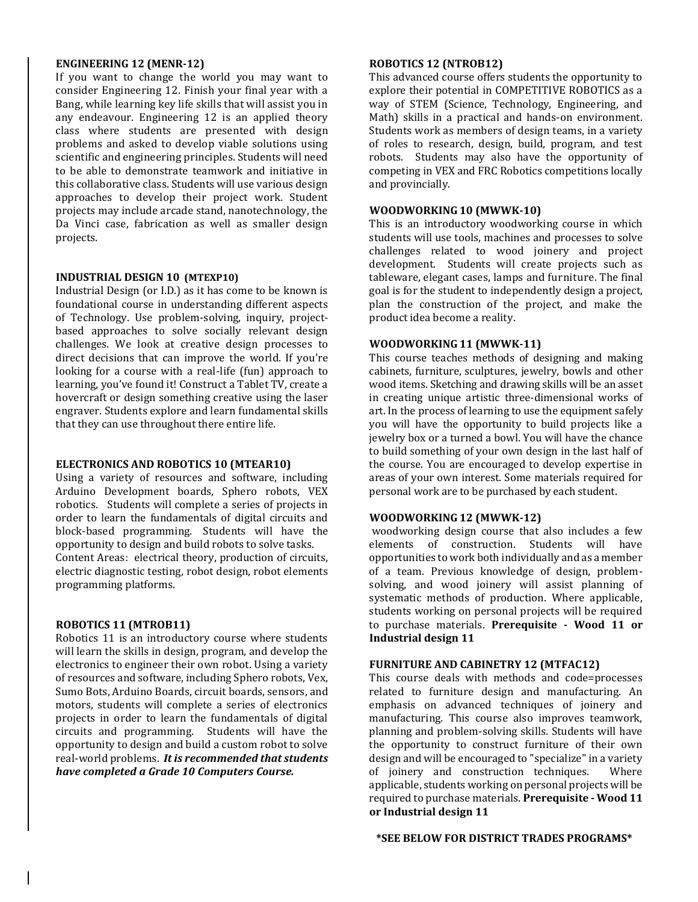#### **ENGINEERING 12 (MENR-12)**

If you want to change the world you may want to consider Engineering 12. Finish your final year with a Bang, while learning key life skills that will assist you in any endeavour. Engineering 12 is an applied theory class where students are presented with design problems and asked to develop viable solutions using scientific and engineering principles. Students will need to be able to demonstrate teamwork and initiative in this collaborative class. Students will use various design approaches to develop their project work. Student projects may include arcade stand, nanotechnology, the Da Vinci case, fabrication as well as smaller design projects.

#### **INDUSTRIAL DESIGN 10 (MTEXP10)**

Industrial Design (or I.D.) as it has come to be known is foundational course in understanding different aspects of Technology. Use problem-solving, inquiry, projectbased approaches to solve socially relevant design challenges. We look at creative design processes to direct decisions that can improve the world. If you're looking for a course with a real-life (fun) approach to learning, you've found it! Construct a Tablet TV, create a hovercraft or design something creative using the laser engraver. Students explore and learn fundamental skills that they can use throughout there entire life.

#### **ELECTRONICS AND ROBOTICS 10 (MTEAR10)**

Using a variety of resources and software, including Arduino Development boards, Sphero robots, VEX robotics. Students will complete a series of projects in order to learn the fundamentals of digital circuits and block-based programming. Students will have the opportunity to design and build robots to solve tasks. Content Areas: electrical theory, production of circuits, electric diagnostic testing, robot design, robot elements programming platforms.

#### **ROBOTICS 11 (MTROB11)**

Robotics 11 is an introductory course where students will learn the skills in design, program, and develop the electronics to engineer their own robot. Using a variety of resources and software, including Sphero robots, Vex, Sumo Bots, Arduino Boards, circuit boards, sensors, and motors, students will complete a series of electronics projects in order to learn the fundamentals of digital circuits and programming. Students will have the opportunity to design and build a custom robot to solve real-world problems. *It is recommended that students have completed a Grade 10 Computers Course.*

#### **ROBOTICS 12 (NTROB12)**

This advanced course offers students the opportunity to explore their potential in COMPETITIVE ROBOTICS as a way of STEM (Science, Technology, Engineering, and Math) skills in a practical and hands-on environment. Students work as members of design teams, in a variety of roles to research, design, build, program, and test robots. Students may also have the opportunity of competing in VEX and FRC Robotics competitions locally and provincially.

#### **WOODWORKING10 (MWWK-10)**

This is an introductory woodworking course in which students will use tools, machines and processes to solve challenges related to wood joinery and project development. Students will create projects such as tableware, elegant cases, lamps and furniture. The final goal is for the student to independently design a project, plan the construction of the project, and make the product idea become a reality.

#### **WOODWORKING11 (MWWK-11)**

This course teaches methods of designing and making cabinets, furniture, sculptures, jewelry, bowls and other wood items. Sketching and drawing skills will be an asset in creating unique artistic three-dimensional works of art. In the process of learning to use the equipment safely you will have the opportunity to build projects like a jewelry box or a turned a bowl. You will have the chance to build something of your own design in the last half of the course. You are encouraged to develop expertise in areas of your own interest. Some materials required for personal work are to be purchased by each student.

#### **WOODWORKING12 (MWWK-12)**

woodworking design course that also includes a few elements of construction. Students will have opportunities to work both individually and as a member of a team. Previous knowledge of design, problemsolving, and wood joinery will assist planning of systematic methods of production. Where applicable, students working on personal projects will be required to purchase materials. **Prerequisite - Wood 11 or Industrial design 11**

#### **FURNITURE AND CABINETRY 12 (MTFAC12)**

This course deals with methods and code=processes related to furniture design and manufacturing. An emphasis on advanced techniques of joinery and manufacturing. This course also improves teamwork, planning and problem-solving skills. Students will have the opportunity to construct furniture of their own design and will be encouraged to "specialize" in a variety of joinery and construction techniques. Where applicable, students working on personal projects will be required to purchase materials. **Prerequisite - Wood 11 or Industrial design 11**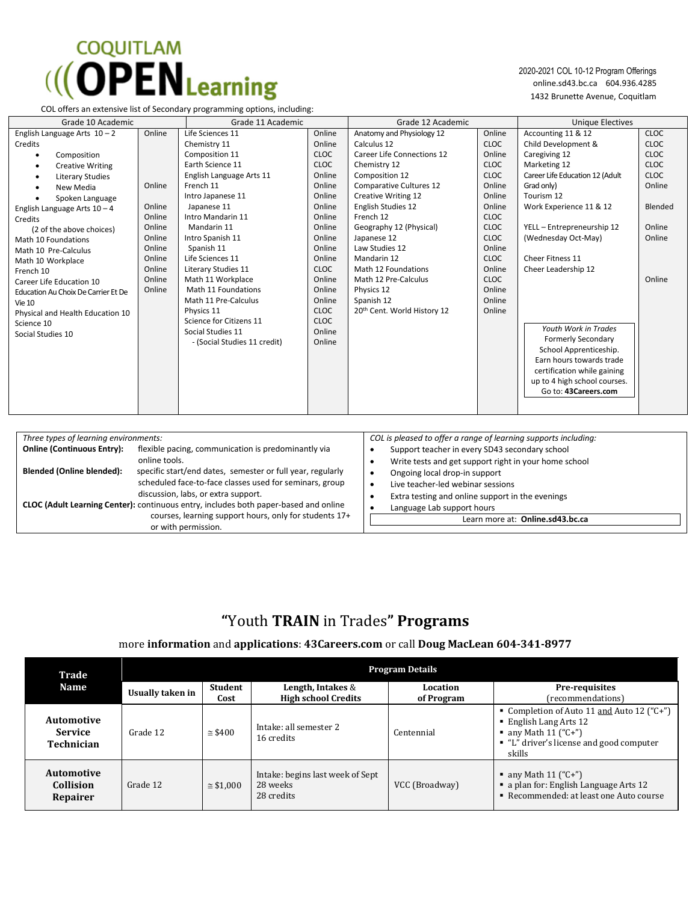# **COQUITLAM**  $\left(\left(\right)$  **OPEN** Learning

2020-2021 COL 10-12 Program Offerings online.sd43.bc.ca 604.936.4285 1432 Brunette Avenue, Coquitlam

**Blended (Online blended):** specific start/end dates, semester or full year, regularly

or with permission.

 discussion, labs, or extra support. **CLOC (Adult Learning Center):** continuous entry, includes both paper-based and online

scheduled face-to-face classes used for seminars, group

|                                                                                                                                                                                                                                                                                                                                                                                                                                                                                                                                                      |                                                                                                                                                                                                                                         |                                                                                                                                                                                                                                                                                                                                                                                           |                                                                                                                                                                                                                          | <b>Unique Electives</b>                                                                                                                                                                                                                                                                                                                                                                                                                                                       |                                                                                                                            |
|------------------------------------------------------------------------------------------------------------------------------------------------------------------------------------------------------------------------------------------------------------------------------------------------------------------------------------------------------------------------------------------------------------------------------------------------------------------------------------------------------------------------------------------------------|-----------------------------------------------------------------------------------------------------------------------------------------------------------------------------------------------------------------------------------------|-------------------------------------------------------------------------------------------------------------------------------------------------------------------------------------------------------------------------------------------------------------------------------------------------------------------------------------------------------------------------------------------|--------------------------------------------------------------------------------------------------------------------------------------------------------------------------------------------------------------------------|-------------------------------------------------------------------------------------------------------------------------------------------------------------------------------------------------------------------------------------------------------------------------------------------------------------------------------------------------------------------------------------------------------------------------------------------------------------------------------|----------------------------------------------------------------------------------------------------------------------------|
| Online<br>Life Sciences 11<br>Chemistry 11<br>Composition 11<br>Earth Science 11<br>English Language Arts 11<br>French 11<br>Online<br>Intro Japanese 11<br>Online<br>Japanese 11<br>Online<br>Intro Mandarin 11<br>Online<br>Mandarin 11<br>Online<br>Intro Spanish 11<br>Online<br>Spanish 11<br>Life Sciences 11<br>Online<br>Online<br>Literary Studies 11<br>Online<br>Math 11 Workplace<br>Math 11 Foundations<br>Online<br>Math 11 Pre-Calculus<br>Physics 11<br>Science for Citizens 11<br>Social Studies 11<br>- (Social Studies 11 credit) | Online<br>Online<br><b>CLOC</b><br><b>CLOC</b><br>Online<br>Online<br>Online<br>Online<br>Online<br>Online<br>Online<br>Online<br>Online<br><b>CLOC</b><br>Online<br>Online<br>Online<br><b>CLOC</b><br><b>CLOC</b><br>Online<br>Online | Anatomy and Physiology 12<br>Calculus 12<br><b>Career Life Connections 12</b><br>Chemistry 12<br>Composition 12<br>Comparative Cultures 12<br>Creative Writing 12<br>English Studies 12<br>French 12<br>Geography 12 (Physical)<br>Japanese 12<br>Law Studies 12<br>Mandarin 12<br>Math 12 Foundations<br>Math 12 Pre-Calculus<br>Physics 12<br>Spanish 12<br>20th Cent. World History 12 | Online<br><b>CLOC</b><br>Online<br><b>CLOC</b><br><b>CLOC</b><br>Online<br>Online<br>Online<br><b>CLOC</b><br><b>CLOC</b><br><b>CLOC</b><br>Online<br><b>CLOC</b><br>Online<br><b>CLOC</b><br>Online<br>Online<br>Online | Accounting 11 & 12<br>Child Development &<br>Caregiving 12<br>Marketing 12<br>Career Life Education 12 (Adult<br>Grad only)<br>Tourism 12<br>Work Experience 11 & 12<br>YELL - Entrepreneurship 12<br>(Wednesday Oct-May)<br><b>Cheer Fitness 11</b><br>Cheer Leadership 12<br>Youth Work in Trades<br><b>Formerly Secondary</b><br>School Apprenticeship.<br>Earn hours towards trade<br>certification while gaining<br>up to 4 high school courses.<br>Go to: 43Careers.com | <b>CLOC</b><br><b>CLOC</b><br><b>CLOC</b><br><b>CLOC</b><br><b>CLOC</b><br>Online<br>Blended<br>Online<br>Online<br>Online |
| Three types of learning environments:                                                                                                                                                                                                                                                                                                                                                                                                                                                                                                                |                                                                                                                                                                                                                                         |                                                                                                                                                                                                                                                                                                                                                                                           |                                                                                                                                                                                                                          |                                                                                                                                                                                                                                                                                                                                                                                                                                                                               |                                                                                                                            |
|                                                                                                                                                                                                                                                                                                                                                                                                                                                                                                                                                      |                                                                                                                                                                                                                                         | Grade 11 Academic<br>flexible pacing, communication is predominantly via                                                                                                                                                                                                                                                                                                                  |                                                                                                                                                                                                                          | Grade 12 Academic                                                                                                                                                                                                                                                                                                                                                                                                                                                             | COL is pleased to offer a range of learning supports including:<br>Support teacher in every SD43 secondary school          |

| Write tests and get support right in your home school |
|-------------------------------------------------------|
|                                                       |

- Ongoing local drop-in support
- Live teacher-led webinar sessions
- Extra testing and online support in the evenings
- Language Lab support hours

 courses, learning support hours, only for students 17+ Learn more at: **Online.sd43.bc.ca**

## **"**Youth **TRAIN** in Trades**" Programs**

#### more **information** and **applications**: **43Careers.com** or call **Doug MacLean 604-341-8977**

| Trade                                      | <b>Program Details</b> |                   |                                                            |                        |                                                                                                                                                      |  |
|--------------------------------------------|------------------------|-------------------|------------------------------------------------------------|------------------------|------------------------------------------------------------------------------------------------------------------------------------------------------|--|
| <b>Name</b>                                | Usually taken in       | Student<br>Cost   | Length, Intakes &<br><b>High school Credits</b>            | Location<br>of Program | Pre-requisites<br>(recommendations)                                                                                                                  |  |
| Automotive<br><b>Service</b><br>Technician | Grade 12               | $\approx$ \$400   | Intake: all semester 2<br>16 credits                       | Centennial             | • Completion of Auto 11 and Auto 12 ("C+")<br>■ English Lang Arts 12<br>• any Math $11 ("C+")$<br>■ "L" driver's license and good computer<br>skills |  |
| Automotive<br><b>Collision</b><br>Repairer | Grade 12               | $\approx$ \$1.000 | Intake: begins last week of Sept<br>28 weeks<br>28 credits | VCC (Broadway)         | • any Math $11 ("C+")$<br>a plan for: English Language Arts 12<br>• Recommended: at least one Auto course                                            |  |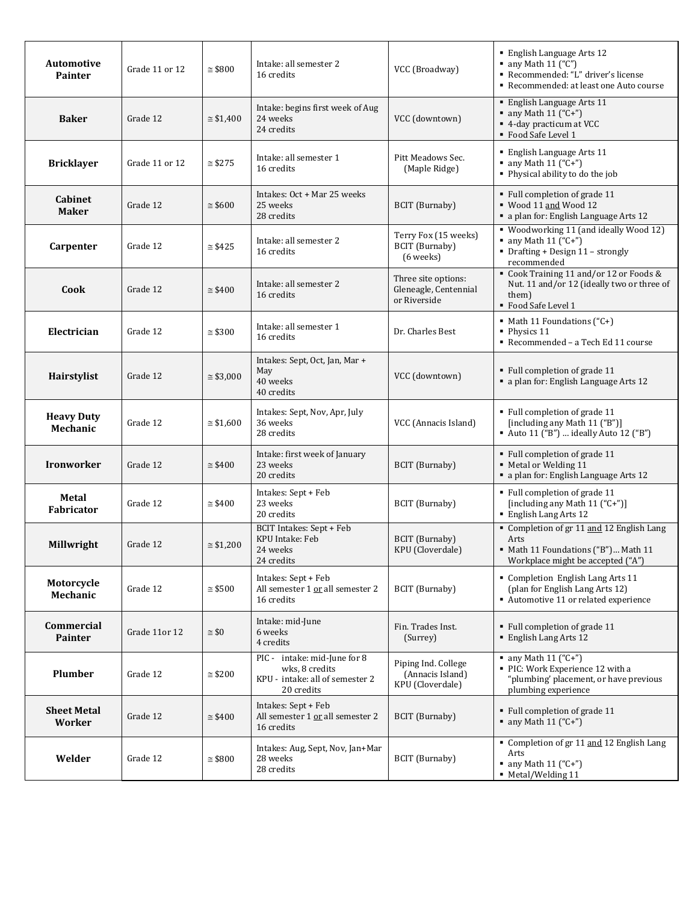| <b>Automotive</b><br><b>Painter</b> | Grade 11 or 12 | $\approx$ \$800   | Intake: all semester 2<br>16 credits                                                            | VCC (Broadway)                                               | <b>English Language Arts 12</b><br>$\blacksquare$ any Math 11 ("C")<br>Recommended: "L" driver's license<br>Recommended: at least one Auto course |
|-------------------------------------|----------------|-------------------|-------------------------------------------------------------------------------------------------|--------------------------------------------------------------|---------------------------------------------------------------------------------------------------------------------------------------------------|
| <b>Baker</b>                        | Grade 12       | $\approx$ \$1,400 | Intake: begins first week of Aug<br>24 weeks<br>24 credits                                      | VCC (downtown)                                               | <b>English Language Arts 11</b><br>• any Math $11 ("C+")$<br>■ 4-day practicum at VCC<br>• Food Safe Level 1                                      |
| <b>Bricklayer</b>                   | Grade 11 or 12 | $\approx$ \$275   | Intake: all semester 1<br>16 credits                                                            | Pitt Meadows Sec.<br>(Maple Ridge)                           | <b>English Language Arts 11</b><br>$\blacksquare$ any Math 11 ("C+")<br>• Physical ability to do the job                                          |
| Cabinet<br><b>Maker</b>             | Grade 12       | $\approx$ \$600   | Intakes: Oct + Mar 25 weeks<br>25 weeks<br>28 credits                                           | BCIT (Burnaby)                                               | • Full completion of grade 11<br>■ Wood 11 and Wood 12<br>· a plan for: English Language Arts 12                                                  |
| Carpenter                           | Grade 12       | $\approx$ \$425   | Intake: all semester 2<br>16 credits                                                            | Terry Fox (15 weeks)<br><b>BCIT</b> (Burnaby)<br>(6 weeks)   | " Woodworking 11 (and ideally Wood 12)<br>$\blacksquare$ any Math 11 ("C+")<br>• Drafting + Design 11 - strongly<br>recommended                   |
| Cook                                | Grade 12       | $\approx$ \$400   | Intake: all semester 2<br>16 credits                                                            | Three site options:<br>Gleneagle, Centennial<br>or Riverside | Cook Training 11 and/or 12 or Foods &<br>Nut. 11 and/or 12 (ideally two or three of<br>them)<br>• Food Safe Level 1                               |
| Electrician                         | Grade 12       | $\approx$ \$300   | Intake: all semester 1<br>16 credits                                                            | Dr. Charles Best                                             | $\blacksquare$ Math 11 Foundations ("C+)<br>Physics 11<br>Recommended - a Tech Ed 11 course                                                       |
| Hairstylist                         | Grade 12       | $\approx$ \$3,000 | Intakes: Sept, Oct, Jan, Mar +<br>May<br>40 weeks<br>40 credits                                 | VCC (downtown)                                               | Full completion of grade 11<br>• a plan for: English Language Arts 12                                                                             |
| <b>Heavy Duty</b><br>Mechanic       | Grade 12       | $\approx$ \$1,600 | Intakes: Sept, Nov, Apr, July<br>36 weeks<br>28 credits                                         | VCC (Annacis Island)                                         | Full completion of grade 11<br>[including any Math 11 ("B")]<br>• Auto 11 ("B")  ideally Auto 12 ("B")                                            |
| <b>Ironworker</b>                   | Grade 12       | $\approx$ \$400   | Intake: first week of January<br>23 weeks<br>20 credits                                         | BCIT (Burnaby)                                               | • Full completion of grade 11<br>• Metal or Welding 11<br>a plan for: English Language Arts 12                                                    |
| Metal<br>Fabricator                 | Grade 12       | $\approx$ \$400   | Intakes: Sept + Feb<br>23 weeks<br>20 credits                                                   | <b>BCIT</b> (Burnaby)                                        | • Full completion of grade 11<br>[including any Math 11 ("C+")]<br>· English Lang Arts 12                                                         |
| Millwright                          | Grade 12       | $\approx$ \$1,200 | BCIT Intakes: Sept + Feb<br><b>KPU</b> Intake: Feb<br>24 weeks<br>24 credits                    | BCIT (Burnaby)<br>KPU (Cloverdale)                           | Completion of gr 11 and 12 English Lang<br>Arts<br>Math 11 Foundations ("B") Math 11<br>Workplace might be accepted ("A")                         |
| Motorcycle<br>Mechanic              | Grade 12       | $\approx$ \$500   | Intakes: Sept + Feb<br>All semester 1 or all semester 2<br>16 credits                           | BCIT (Burnaby)                                               | • Completion English Lang Arts 11<br>(plan for English Lang Arts 12)<br>Automotive 11 or related experience                                       |
| Commercial<br>Painter               | Grade 11or 12  | $\approx$ \$0     | Intake: mid-June<br>6 weeks<br>4 credits                                                        | Fin. Trades Inst.<br>(Surrey)                                | • Full completion of grade 11<br>■ English Lang Arts 12                                                                                           |
| Plumber                             | Grade 12       | $\approx$ \$200   | PIC - intake: mid-June for 8<br>wks, 8 credits<br>KPU - intake: all of semester 2<br>20 credits | Piping Ind. College<br>(Annacis Island)<br>KPU (Cloverdale)  | • any Math $11 ("C+")$<br>• PIC: Work Experience 12 with a<br>"plumbing' placement, or have previous<br>plumbing experience                       |
| <b>Sheet Metal</b><br>Worker        | Grade 12       | $\approx$ \$400   | Intakes: Sept + Feb<br>All semester 1 or all semester 2<br>16 credits                           | BCIT (Burnaby)                                               | • Full completion of grade 11<br>$\blacksquare$ any Math 11 ("C+")                                                                                |
| Welder                              | Grade 12       | $\approx$ \$800   | Intakes: Aug, Sept, Nov, Jan+Mar<br>28 weeks<br>28 credits                                      | BCIT (Burnaby)                                               | Completion of gr 11 and 12 English Lang<br>Arts<br>$\blacksquare$ any Math 11 ("C+")<br>• Metal/Welding 11                                        |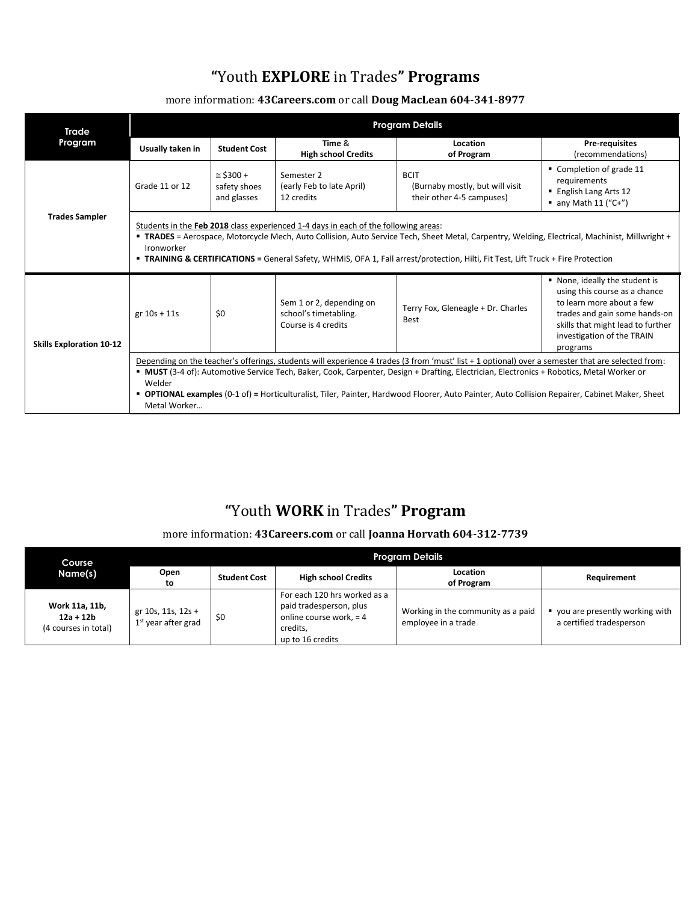## **"**Youth **EXPLORE** in Trades**" Programs**

## more information: **43Careers.com** or call **Doug MacLean 604-341-8977**

| Trade                           | <b>Program Details</b>                                                                                                                                                                                                                                                                                                                                                                                                                                                   |                                                  |                                                                          |                                                                             |                                                                                                                                                                                                            |  |
|---------------------------------|--------------------------------------------------------------------------------------------------------------------------------------------------------------------------------------------------------------------------------------------------------------------------------------------------------------------------------------------------------------------------------------------------------------------------------------------------------------------------|--------------------------------------------------|--------------------------------------------------------------------------|-----------------------------------------------------------------------------|------------------------------------------------------------------------------------------------------------------------------------------------------------------------------------------------------------|--|
| Program                         | Usually taken in                                                                                                                                                                                                                                                                                                                                                                                                                                                         | <b>Student Cost</b>                              | Time &<br><b>High school Credits</b>                                     | Location<br>of Program                                                      | Pre-requisites<br>(recommendations)                                                                                                                                                                        |  |
|                                 | Grade 11 or 12                                                                                                                                                                                                                                                                                                                                                                                                                                                           | $\approx$ \$300 +<br>safety shoes<br>and glasses | Semester 2<br>(early Feb to late April)<br>12 credits                    | <b>BCIT</b><br>(Burnaby mostly, but will visit<br>their other 4-5 campuses) | Completion of grade 11<br>requirements<br>■ English Lang Arts 12<br>$\blacksquare$ any Math 11 ("C+")                                                                                                      |  |
| <b>Trades Sampler</b>           | Students in the Feb 2018 class experienced 1-4 days in each of the following areas:<br>" TRADES = Aerospace, Motorcycle Mech, Auto Collision, Auto Service Tech, Sheet Metal, Carpentry, Welding, Electrical, Machinist, Millwright +<br>Ironworker<br><b>TRAINING &amp; CERTIFICATIONS</b> = General Safety, WHMIS, OFA 1, Fall arrest/protection, Hilti, Fit Test, Lift Truck + Fire Protection                                                                        |                                                  |                                                                          |                                                                             |                                                                                                                                                                                                            |  |
| <b>Skills Exploration 10-12</b> | $gr 10s + 11s$                                                                                                                                                                                                                                                                                                                                                                                                                                                           | \$0                                              | Sem 1 or 2, depending on<br>school's timetabling.<br>Course is 4 credits | Terry Fox, Gleneagle + Dr. Charles<br><b>Best</b>                           | None, ideally the student is<br>using this course as a chance<br>to learn more about a few<br>trades and gain some hands-on<br>skills that might lead to further<br>investigation of the TRAIN<br>programs |  |
|                                 | Depending on the teacher's offerings, students will experience 4 trades (3 from 'must' list + 1 optional) over a semester that are selected from:<br>MUST (3-4 of): Automotive Service Tech, Baker, Cook, Carpenter, Design + Drafting, Electrician, Electronics + Robotics, Metal Worker or<br>Welder<br>" OPTIONAL examples (0-1 of) = Horticulturalist, Tiler, Painter, Hardwood Floorer, Auto Painter, Auto Collision Repairer, Cabinet Maker, Sheet<br>Metal Worker |                                                  |                                                                          |                                                                             |                                                                                                                                                                                                            |  |

# **"**Youth **WORK** in Trades**" Program**

## more information: **43Careers.com** or call **Joanna Horvath 604-312-7739**

| Course                                                | Program Details                             |                     |                                                                                                                    |                                                           |                                                            |
|-------------------------------------------------------|---------------------------------------------|---------------------|--------------------------------------------------------------------------------------------------------------------|-----------------------------------------------------------|------------------------------------------------------------|
| Name(s)                                               | Open<br>to                                  | <b>Student Cost</b> | <b>High school Credits</b>                                                                                         | Location<br>of Program                                    | Requirement                                                |
| Work 11a, 11b,<br>$12a + 12b$<br>(4 courses in total) | gr 10s, 11s, 12s +<br>$1st$ year after grad | \$0                 | For each 120 hrs worked as a<br>paid tradesperson, plus<br>online course work, = 4<br>credits.<br>up to 16 credits | Working in the community as a paid<br>employee in a trade | you are presently working with<br>a certified tradesperson |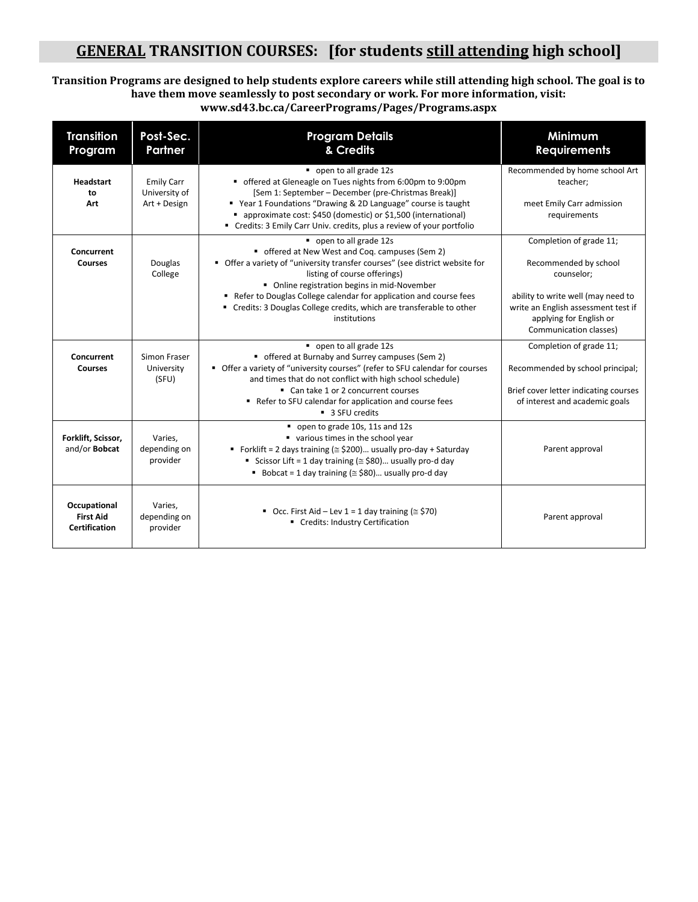## **GENERAL TRANSITION COURSES: [for students still attending high school]**

#### **Transition Programs are designed to help students explore careers while still attending high school. The goal is to have them move seamlessly to post secondary or work. For more information, visit: www.sd43.bc.ca/CareerPrograms/Pages/Programs.aspx**

| <b>Transition</b><br>Program                      | Post-Sec.<br>Partner                               | <b>Program Details</b><br>& Credits                                                                                                                                                                                                                                                                                                                                                                    | Minimum<br><b>Requirements</b>                                                                                                                                                                   |
|---------------------------------------------------|----------------------------------------------------|--------------------------------------------------------------------------------------------------------------------------------------------------------------------------------------------------------------------------------------------------------------------------------------------------------------------------------------------------------------------------------------------------------|--------------------------------------------------------------------------------------------------------------------------------------------------------------------------------------------------|
| <b>Headstart</b><br>to<br>Art                     | <b>Emily Carr</b><br>University of<br>Art + Design | open to all grade 12s<br>• offered at Gleneagle on Tues nights from 6:00pm to 9:00pm<br>[Sem 1: September - December (pre-Christmas Break)]<br>■ Year 1 Foundations "Drawing & 2D Language" course is taught<br>■ approximate cost: \$450 (domestic) or \$1,500 (international)<br>" Credits: 3 Emily Carr Univ. credits, plus a review of your portfolio                                              | Recommended by home school Art<br>teacher;<br>meet Emily Carr admission<br>requirements                                                                                                          |
| Concurrent<br><b>Courses</b>                      | Douglas<br>College                                 | open to all grade 12s<br>" offered at New West and Coq. campuses (Sem 2)<br>• Offer a variety of "university transfer courses" (see district website for<br>listing of course offerings)<br>• Online registration begins in mid-November<br>Refer to Douglas College calendar for application and course fees<br>" Credits: 3 Douglas College credits, which are transferable to other<br>institutions | Completion of grade 11;<br>Recommended by school<br>counselor;<br>ability to write well (may need to<br>write an English assessment test if<br>applying for English or<br>Communication classes) |
| Concurrent<br><b>Courses</b>                      | Simon Fraser<br>University<br>(SFU)                | open to all grade 12s<br>• offered at Burnaby and Surrey campuses (Sem 2)<br>• Offer a variety of "university courses" (refer to SFU calendar for courses<br>and times that do not conflict with high school schedule)<br>■ Can take 1 or 2 concurrent courses<br>Refer to SFU calendar for application and course fees<br>■ 3 SFU credits                                                             | Completion of grade 11;<br>Recommended by school principal;<br>Brief cover letter indicating courses<br>of interest and academic goals                                                           |
| Forklift, Scissor,<br>and/or Bobcat               | Varies,<br>depending on<br>provider                | open to grade 10s, 11s and 12s<br>various times in the school year<br>Forklift = 2 days training ( $\approx$ \$200) usually pro-day + Saturday<br>Scissor Lift = 1 day training ( $\approx$ \$80) usually pro-d day<br>Bobcat = 1 day training ( $\approx$ \$80) usually pro-d day                                                                                                                     | Parent approval                                                                                                                                                                                  |
| Occupational<br><b>First Aid</b><br>Certification | Varies,<br>depending on<br>provider                | Occ. First Aid - Lev $1 = 1$ day training ( $\approx$ \$70)<br>Credits: Industry Certification                                                                                                                                                                                                                                                                                                         | Parent approval                                                                                                                                                                                  |